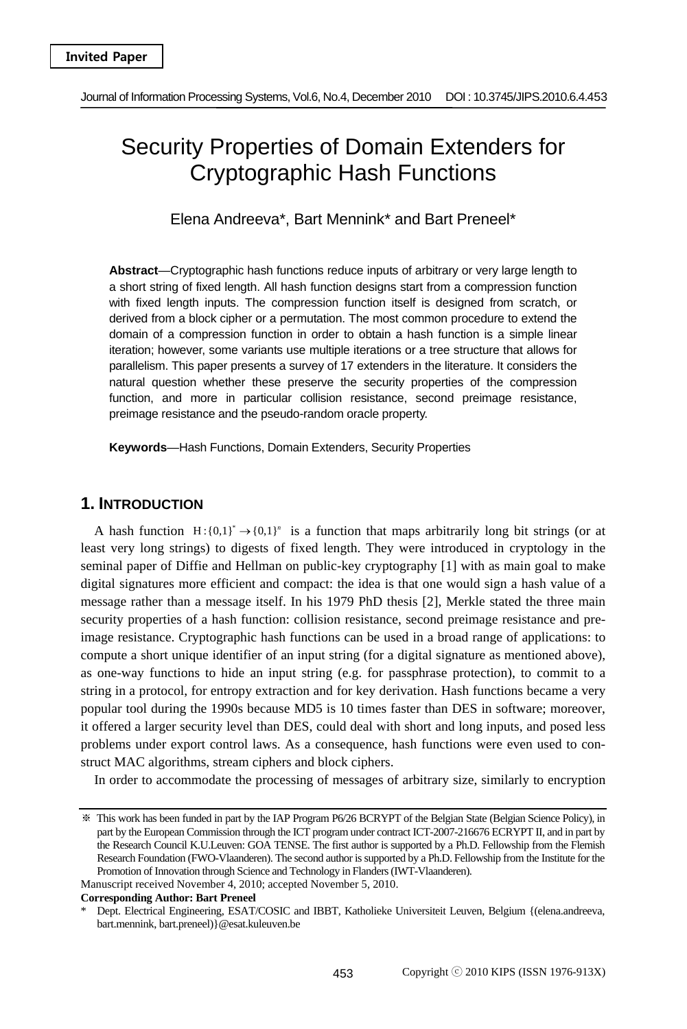# Security Properties of Domain Extenders for Cryptographic Hash Functions

Elena Andreeva\*, Bart Mennink\* and Bart Preneel\*

**Abstract**—Cryptographic hash functions reduce inputs of arbitrary or very large length to a short string of fixed length. All hash function designs start from a compression function with fixed length inputs. The compression function itself is designed from scratch, or derived from a block cipher or a permutation. The most common procedure to extend the domain of a compression function in order to obtain a hash function is a simple linear iteration; however, some variants use multiple iterations or a tree structure that allows for parallelism. This paper presents a survey of 17 extenders in the literature. It considers the natural question whether these preserve the security properties of the compression function, and more in particular collision resistance, second preimage resistance, preimage resistance and the pseudo-random oracle property.

**Keywords**—Hash Functions, Domain Extenders, Security Properties

# **1. INTRODUCTION**

A hash function  $H : \{0,1\}^* \rightarrow \{0,1\}^n$  is a function that maps arbitrarily long bit strings (or at least very long strings) to digests of fixed length. They were introduced in cryptology in the seminal paper of Diffie and Hellman on public-key cryptography [1] with as main goal to make digital signatures more efficient and compact: the idea is that one would sign a hash value of a message rather than a message itself. In his 1979 PhD thesis [2], Merkle stated the three main security properties of a hash function: collision resistance, second preimage resistance and preimage resistance. Cryptographic hash functions can be used in a broad range of applications: to compute a short unique identifier of an input string (for a digital signature as mentioned above), as one-way functions to hide an input string (e.g. for passphrase protection), to commit to a string in a protocol, for entropy extraction and for key derivation. Hash functions became a very popular tool during the 1990s because MD5 is 10 times faster than DES in software; moreover, it offered a larger security level than DES, could deal with short and long inputs, and posed less problems under export control laws. As a consequence, hash functions were even used to construct MAC algorithms, stream ciphers and block ciphers.

In order to accommodate the processing of messages of arbitrary size, similarly to encryption

<sup>※</sup> This work has been funded in part by the IAP Program P6/26 BCRYPT of the Belgian State (Belgian Science Policy), in part by the European Commission through the ICT program under contract ICT-2007-216676 ECRYPT II, and in part by the Research Council K.U.Leuven: GOA TENSE. The first author is supported by a Ph.D. Fellowship from the Flemish Research Foundation (FWO-Vlaanderen). The second author is supported by a Ph.D. Fellowship from the Institute for the Promotion of Innovation through Science and Technology in Flanders (IWT-Vlaanderen). Manuscript received November 4, 2010; accepted November 5, 2010.

**Corresponding Author: Bart Preneel** 

Dept. Electrical Engineering, ESAT/COSIC and IBBT, Katholieke Universiteit Leuven, Belgium {(elena.andreeva, bart.mennink, bart.preneel)}@esat.kuleuven.be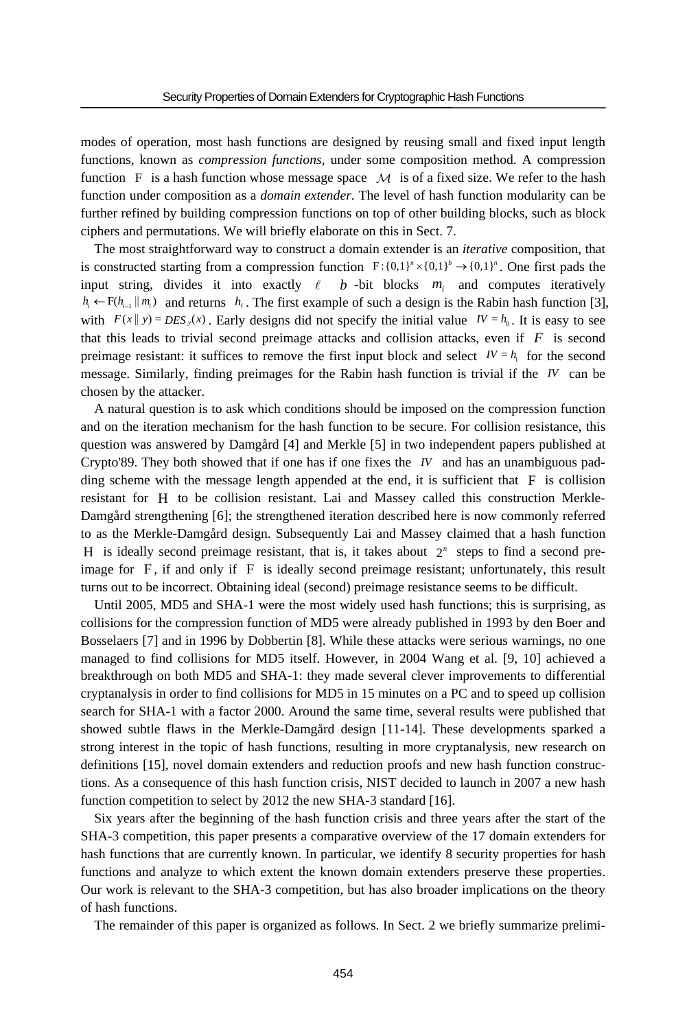modes of operation, most hash functions are designed by reusing small and fixed input length functions, known as *compression functions*, under some composition method. A compression function F is a hash function whose message space  $\mathcal M$  is of a fixed size. We refer to the hash function under composition as a *domain extender*. The level of hash function modularity can be further refined by building compression functions on top of other building blocks, such as block ciphers and permutations. We will briefly elaborate on this in Sect. 7.

The most straightforward way to construct a domain extender is an *iterative* composition, that is constructed starting from a compression function  $F: \{0,1\}^n \times \{0,1\}^n \rightarrow \{0,1\}^n$ . One first pads the input string, divides it into exactly  $\ell$  *b* -bit blocks  $m_i$  and computes iteratively *h<sub>i</sub>* ←  $F(h_{i-1} \| m_i)$  and returns *h<sub>i</sub>*. The first example of such a design is the Rabin hash function [3], with  $F(x || y) = DES_y(x)$ . Early designs did not specify the initial value  $IV = h_0$ . It is easy to see that this leads to trivial second preimage attacks and collision attacks, even if  $F$  is second preimage resistant: it suffices to remove the first input block and select  $I_V = h_i$  for the second message. Similarly, finding preimages for the Rabin hash function is trivial if the *IV* can be chosen by the attacker.

A natural question is to ask which conditions should be imposed on the compression function and on the iteration mechanism for the hash function to be secure. For collision resistance, this question was answered by Damgård [4] and Merkle [5] in two independent papers published at Crypto'89. They both showed that if one has if one fixes the *IV* and has an unambiguous padding scheme with the message length appended at the end, it is sufficient that  $F$  is collision resistant for H to be collision resistant. Lai and Massey called this construction Merkle-Damgård strengthening [6]; the strengthened iteration described here is now commonly referred to as the Merkle-Damgård design. Subsequently Lai and Massey claimed that a hash function H is ideally second preimage resistant, that is, it takes about  $2<sup>n</sup>$  steps to find a second preimage for  $F$ , if and only if  $F$  is ideally second preimage resistant; unfortunately, this result turns out to be incorrect. Obtaining ideal (second) preimage resistance seems to be difficult.

Until 2005, MD5 and SHA-1 were the most widely used hash functions; this is surprising, as collisions for the compression function of MD5 were already published in 1993 by den Boer and Bosselaers [7] and in 1996 by Dobbertin [8]. While these attacks were serious warnings, no one managed to find collisions for MD5 itself. However, in 2004 Wang et al. [9, 10] achieved a breakthrough on both MD5 and SHA-1: they made several clever improvements to differential cryptanalysis in order to find collisions for MD5 in 15 minutes on a PC and to speed up collision search for SHA-1 with a factor 2000. Around the same time, several results were published that showed subtle flaws in the Merkle-Damgård design [11-14]. These developments sparked a strong interest in the topic of hash functions, resulting in more cryptanalysis, new research on definitions [15], novel domain extenders and reduction proofs and new hash function constructions. As a consequence of this hash function crisis, NIST decided to launch in 2007 a new hash function competition to select by 2012 the new SHA-3 standard [16].

Six years after the beginning of the hash function crisis and three years after the start of the SHA-3 competition, this paper presents a comparative overview of the 17 domain extenders for hash functions that are currently known. In particular, we identify 8 security properties for hash functions and analyze to which extent the known domain extenders preserve these properties. Our work is relevant to the SHA-3 competition, but has also broader implications on the theory of hash functions.

The remainder of this paper is organized as follows. In Sect. 2 we briefly summarize prelimi-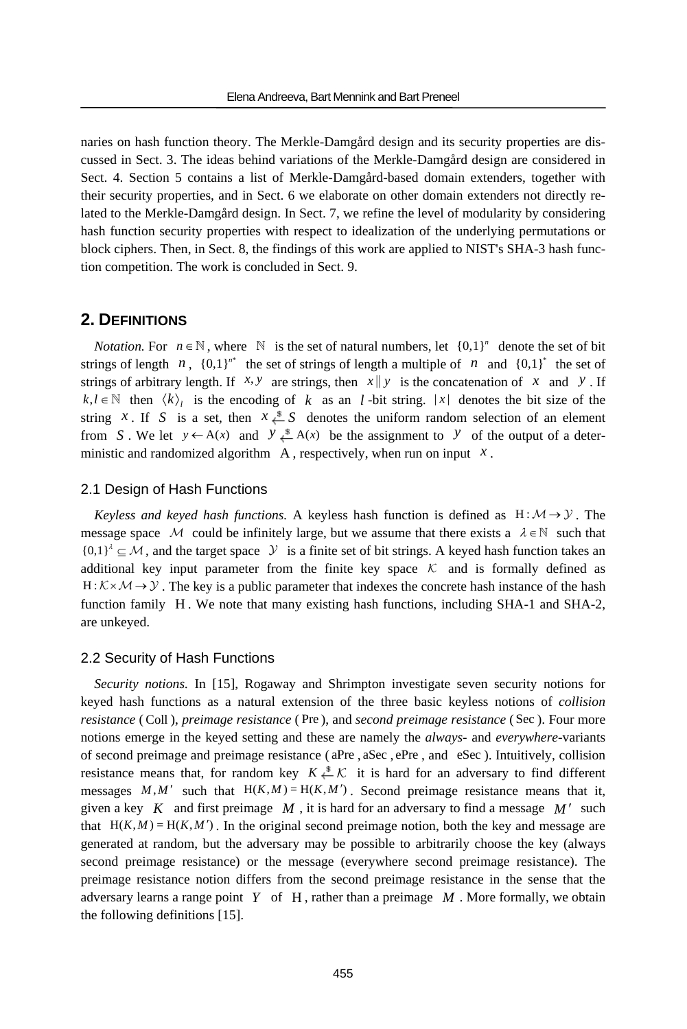naries on hash function theory. The Merkle-Damgård design and its security properties are discussed in Sect. 3. The ideas behind variations of the Merkle-Damgård design are considered in Sect. 4. Section 5 contains a list of Merkle-Damgård-based domain extenders, together with their security properties, and in Sect. 6 we elaborate on other domain extenders not directly related to the Merkle-Damgård design. In Sect. 7, we refine the level of modularity by considering hash function security properties with respect to idealization of the underlying permutations or block ciphers. Then, in Sect. 8, the findings of this work are applied to NIST's SHA-3 hash function competition. The work is concluded in Sect. 9.

### **2. DEFINITIONS**

*Notation.* For  $n \in \mathbb{N}$ , where  $\mathbb{N}$  is the set of natural numbers, let  $\{0,1\}^n$  denote the set of bit strings of length *n*,  ${0,1}^n$  the set of strings of length a multiple of *n* and  ${0,1}^*$  the set of strings of arbitrary length. If  $x, y$  are strings, then  $x \parallel y$  is the concatenation of x and y. If  $k, l \in \mathbb{N}$  then  $\langle k \rangle$  is the encoding of  $k$  as an *l* -bit string. |x| denotes the bit size of the string *x*. If *S* is a set, then  $x \stackrel{\$}{\leftarrow} S$  denotes the uniform random selection of an element from *S*. We let  $y \leftarrow A(x)$  and  $y \stackrel{\$}{\downarrow} A(x)$  be the assignment to *y* of the output of a deterministic and randomized algorithm  $A$ , respectively, when run on input  $x$ .

#### 2.1 Design of Hash Functions

*Keyless and keyed hash functions.* A keyless hash function is defined as  $H : M \rightarrow Y$ . The message space M could be infinitely large, but we assume that there exists a  $\lambda \in \mathbb{N}$  such that  ${0,1}^{\lambda} \subseteq M$ , and the target space  $\mathcal Y$  is a finite set of bit strings. A keyed hash function takes an additional key input parameter from the finite key space  $K$  and is formally defined as  $H: K \times M \rightarrow Y$ . The key is a public parameter that indexes the concrete hash instance of the hash function family H . We note that many existing hash functions, including SHA-1 and SHA-2, are unkeyed.

#### 2.2 Security of Hash Functions

*Security notions.* In [15], Rogaway and Shrimpton investigate seven security notions for keyed hash functions as a natural extension of the three basic keyless notions of *collision resistance* ( Coll ), *preimage resistance* ( Pre ), and *second preimage resistance* ( Sec ). Four more notions emerge in the keyed setting and these are namely the *always-* and *everywhere-*variants of second preimage and preimage resistance ( aPre , aSec , ePre , and eSec ). Intuitively, collision resistance means that, for random key  $K \stackrel{s}{\leftarrow} K$  it is hard for an adversary to find different messages  $M, M'$  such that  $H(K, M) = H(K, M')$ . Second preimage resistance means that it, given a key  $K$  and first preimage  $M$ , it is hard for an adversary to find a message  $M'$  such that  $H(K, M) = H(K, M')$ . In the original second preimage notion, both the key and message are generated at random, but the adversary may be possible to arbitrarily choose the key (always second preimage resistance) or the message (everywhere second preimage resistance). The preimage resistance notion differs from the second preimage resistance in the sense that the adversary learns a range point *Y* of H , rather than a preimage *M* . More formally, we obtain the following definitions [15].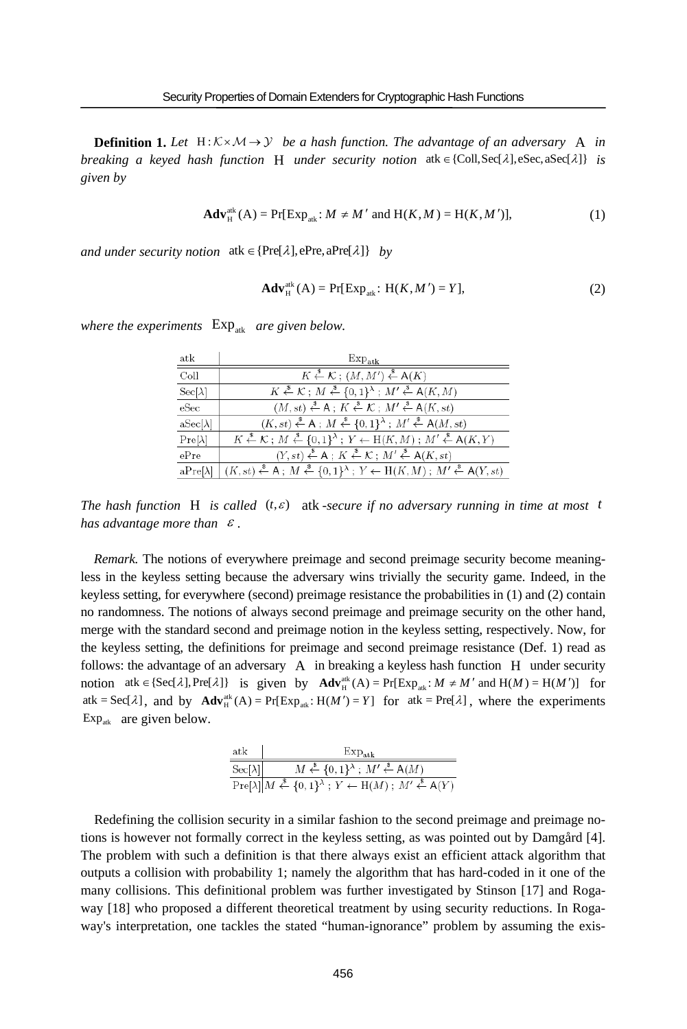**Definition 1.** Let  $H: K \times M \rightarrow Y$  be a hash function. The advantage of an adversary A in *breaking a keyed hash function* **H** *under security notion*  $ak \in \{Coll, Sec[1], esc, asc[1] \}$  *is given by*

$$
\mathbf{Adv}_{\mathrm{H}}^{\mathrm{atk}}\left(\mathrm{A}\right) = \Pr[\mathrm{Exp}_{\mathrm{atk}}: M \neq M' \text{ and } \mathrm{H}(K, M) = \mathrm{H}(K, M')],\tag{1}
$$

*and under security notion*  $ak \in \{Pre[\lambda], ePre, aPre[\lambda]\}$  *by* 

$$
\mathbf{Adv}_{\mathrm{H}}^{\mathrm{atk}}\left(\mathrm{A}\right) = \mathrm{Pr}[\mathrm{Exp}_{\mathrm{atk}}\colon \mathrm{H}(K,M') = Y],\tag{2}
$$

| atk                           | $Exp_{atk}$                                                                                                                                                 |
|-------------------------------|-------------------------------------------------------------------------------------------------------------------------------------------------------------|
| Coll                          | $K \stackrel{\$}{\leftarrow} \mathcal{K}$ ; $(M, M') \stackrel{\$}{\leftarrow} A(K)$                                                                        |
| $\operatorname{Sec}[\lambda]$ | $K \stackrel{\$}{\leftarrow} \mathcal{K}$ ; $M \stackrel{\$}{\leftarrow} \{0,1\}^{\lambda}$ ; $M' \stackrel{\$}{\leftarrow} A(K,M)$                         |
| eSec                          | $(M, st) \stackrel{\$}{\leftarrow} A$ ; $K \stackrel{\$}{\leftarrow} \mathcal{K}$ ; $M' \stackrel{\$}{\leftarrow} A(K, st)$                                 |
| $aSec[\lambda]$               | $(K, st) \stackrel{\$}{\leftarrow} A$ ; $M \stackrel{\$}{\leftarrow} \{0, 1\}^{\lambda}$ ; $M' \stackrel{\$}{\leftarrow} A(M, st)$                          |
| $Pre[\lambda]$                | $K \stackrel{\$}{\leftarrow} \mathcal{K}$ ; $M \stackrel{\$}{\leftarrow} \{0,1\}^{\lambda}$ ; $Y \leftarrow H(K,M)$ ; $M' \stackrel{\$}{\leftarrow} A(K,Y)$ |
| ePre                          | $(Y, st) \stackrel{\$}{\leftarrow} A$ ; $K \stackrel{\$}{\leftarrow} \mathcal{K}$ ; $M' \stackrel{\$}{\leftarrow} A(K, st)$                                 |
| $aPre[\lambda]$               | $(K, st) \stackrel{\$}{\leftarrow} A$ ; $M \stackrel{\$}{\leftarrow} \{0,1\}^{\lambda}$ ; $Y \leftarrow H(K, M)$ ; $M' \stackrel{\$}{\leftarrow} A(Y, st)$  |

*where the experiments*  $Exp_{atk}$  *are given below.* 

*The hash function* **H** is called  $(t, \varepsilon)$  atk-secure if no adversary running in time at most t *has advantage more than* <sup>ε</sup> *.* 

*Remark.* The notions of everywhere preimage and second preimage security become meaningless in the keyless setting because the adversary wins trivially the security game. Indeed, in the keyless setting, for everywhere (second) preimage resistance the probabilities in (1) and (2) contain no randomness. The notions of always second preimage and preimage security on the other hand, merge with the standard second and preimage notion in the keyless setting, respectively. Now, for the keyless setting, the definitions for preimage and second preimage resistance (Def. 1) read as follows: the advantage of an adversary A in breaking a keyless hash function H under security notion atk  $\in$  {Sec[ $\lambda$ ], Pre[ $\lambda$ ]} is given by  $\text{Adv}_{H}^{\text{atk}}(A) = \Pr[\text{Exp}_{\text{atk}} : M \neq M' \text{ and } H(M) = H(M')]$  for atk = Sec[ $\lambda$ ], and by  $\text{Adv}_{H}^{\text{atk}}(A) = \text{Pr}[\text{Exp}_{\text{atk}}: H(M') = Y]$  for atk = Pre[ $\lambda$ ], where the experiments  $Exp_{atk}$  are given below.

| atk                           | $Exp_{atk}$                                                                                                                                                                                                                                           |  |  |  |  |  |
|-------------------------------|-------------------------------------------------------------------------------------------------------------------------------------------------------------------------------------------------------------------------------------------------------|--|--|--|--|--|
| $\operatorname{Sec}[\lambda]$ | $M \stackrel{\$}{\leftarrow} \{0,1\}^{\lambda}$ ; $M' \stackrel{\$}{\leftarrow} A(M)$                                                                                                                                                                 |  |  |  |  |  |
|                               | $\operatorname{Pre}[\lambda] \, M \stackrel{\hspace{0.1em}\mathsf{\scriptscriptstyle\$}}{\leftarrow} \{0,1\}^\lambda \, ; \, Y \leftarrow \mathcal{H}(M) \, ; \, M' \stackrel{\hspace{0.1em}\mathsf{\scriptscriptstyle\$}}{\leftarrow} \mathsf{A}(Y)$ |  |  |  |  |  |

Redefining the collision security in a similar fashion to the second preimage and preimage notions is however not formally correct in the keyless setting, as was pointed out by Damgård [4]. The problem with such a definition is that there always exist an efficient attack algorithm that outputs a collision with probability 1; namely the algorithm that has hard-coded in it one of the many collisions. This definitional problem was further investigated by Stinson [17] and Rogaway [18] who proposed a different theoretical treatment by using security reductions. In Rogaway's interpretation, one tackles the stated "human-ignorance" problem by assuming the exis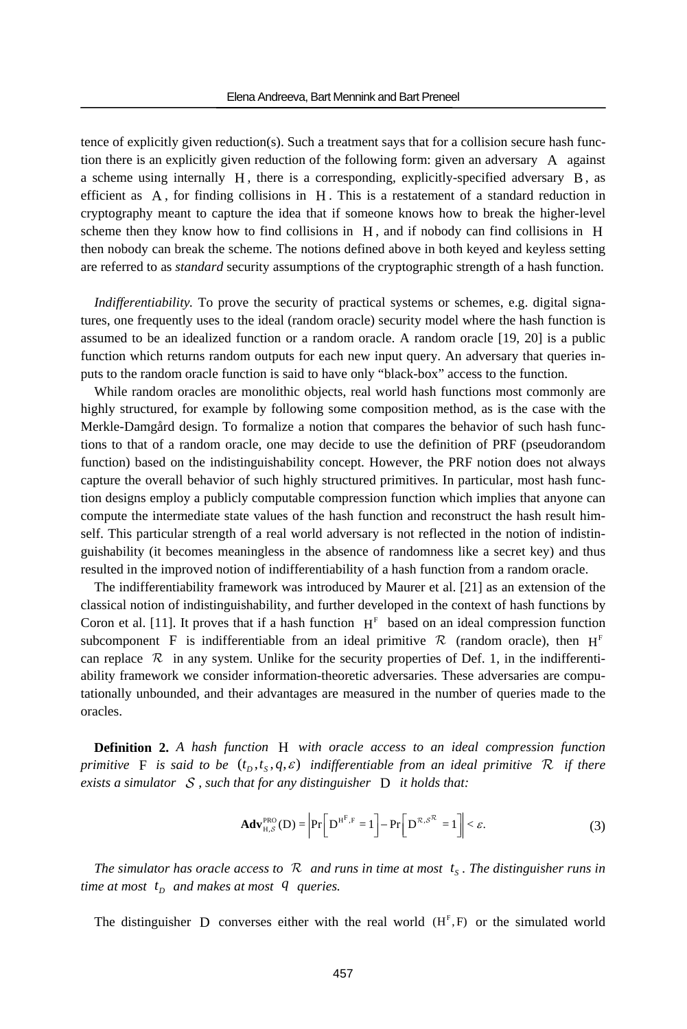tence of explicitly given reduction(s). Such a treatment says that for a collision secure hash function there is an explicitly given reduction of the following form: given an adversary A against a scheme using internally H , there is a corresponding, explicitly-specified adversary B, as efficient as A , for finding collisions in H . This is a restatement of a standard reduction in cryptography meant to capture the idea that if someone knows how to break the higher-level scheme then they know how to find collisions in H , and if nobody can find collisions in H then nobody can break the scheme. The notions defined above in both keyed and keyless setting are referred to as *standard* security assumptions of the cryptographic strength of a hash function.

*Indifferentiability.* To prove the security of practical systems or schemes, e.g. digital signatures, one frequently uses to the ideal (random oracle) security model where the hash function is assumed to be an idealized function or a random oracle. A random oracle [19, 20] is a public function which returns random outputs for each new input query. An adversary that queries inputs to the random oracle function is said to have only "black-box" access to the function.

While random oracles are monolithic objects, real world hash functions most commonly are highly structured, for example by following some composition method, as is the case with the Merkle-Damgård design. To formalize a notion that compares the behavior of such hash functions to that of a random oracle, one may decide to use the definition of PRF (pseudorandom function) based on the indistinguishability concept. However, the PRF notion does not always capture the overall behavior of such highly structured primitives. In particular, most hash function designs employ a publicly computable compression function which implies that anyone can compute the intermediate state values of the hash function and reconstruct the hash result himself. This particular strength of a real world adversary is not reflected in the notion of indistinguishability (it becomes meaningless in the absence of randomness like a secret key) and thus resulted in the improved notion of indifferentiability of a hash function from a random oracle.

The indifferentiability framework was introduced by Maurer et al. [21] as an extension of the classical notion of indistinguishability, and further developed in the context of hash functions by Coron et al. [11]. It proves that if a hash function  $H<sup>F</sup>$  based on an ideal compression function subcomponent F is indifferentiable from an ideal primitive  $\mathcal{R}$  (random oracle), then  $H<sup>F</sup>$ can replace  $\mathcal R$  in any system. Unlike for the security properties of Def. 1, in the indifferentiability framework we consider information-theoretic adversaries. These adversaries are computationally unbounded, and their advantages are measured in the number of queries made to the oracles.

**Definition 2.** *A hash function* H *with oracle access to an ideal compression function primitive* F is said to be  $(t_p, t_s, q, \varepsilon)$  *indifferentiable from an ideal primitive* R *if there exists a simulator* S *, such that for any distinguisher* D *it holds that:* 

$$
\mathbf{Adv}_{H,\mathcal{S}}^{PRO}(\mathbf{D}) = \left| \Pr\left[\mathbf{D}^{H^{F,F}} = 1\right] - \Pr\left[\mathbf{D}^{\mathcal{R},\mathcal{S}^{\mathcal{R}}} = 1\right] \right| < \varepsilon. \tag{3}
$$

*The simulator has oracle access to*  $\mathcal{R}$  *and runs in time at most*  $t_s$ *. The distinguisher runs in time at most*  $t_p$  *and makes at most*  $q$  *queries.* 

The distinguisher D converses either with the real world  $(H<sup>F</sup>, F)$  or the simulated world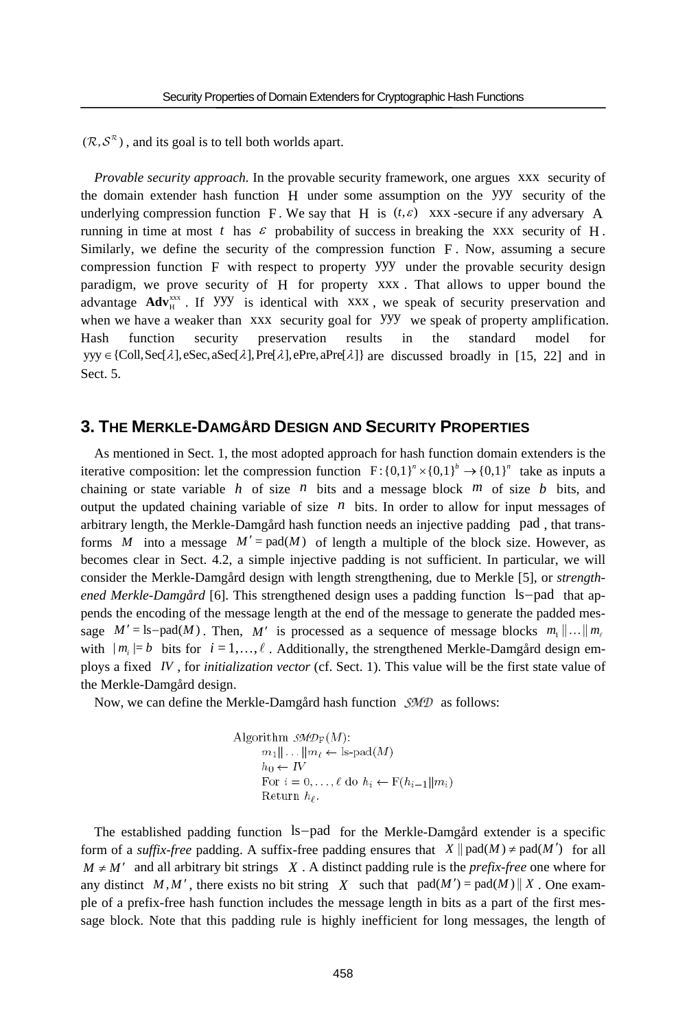$(\mathcal{R}, \mathcal{S}^{\mathcal{R}})$ , and its goal is to tell both worlds apart.

*Provable security approach.* In the provable security framework, one argues xxx security of the domain extender hash function H under some assumption on the yyy security of the underlying compression function F. We say that H is  $(t, \varepsilon)$  xxx -secure if any adversary A running in time at most t has  $\varepsilon$  probability of success in breaking the xxx security of H. Similarly, we define the security of the compression function F . Now, assuming a secure compression function F with respect to property yyy under the provable security design paradigm, we prove security of H for property xxx . That allows to upper bound the advantage Adv<sub>H</sub><sup>xxx</sup>. If YYY is identical with xxx, we speak of security preservation and when we have a weaker than xxx security goal for YYY we speak of property amplification. Hash function security preservation results in the standard model for yyy  $\in$  {Coll, Sec[ $\lambda$ ], eSec, aSec[ $\lambda$ ], Pre[ $\lambda$ ], ePre, aPre[ $\lambda$ ]} are discussed broadly in [15, 22] and in Sect. 5.

# **3. THE MERKLE-DAMGÅRD DESIGN AND SECURITY PROPERTIES**

As mentioned in Sect. 1, the most adopted approach for hash function domain extenders is the iterative composition: let the compression function  $F: \{0,1\}^n \times \{0,1\}^n$  take as inputs a chaining or state variable  $h$  of size  $n$  bits and a message block  $m$  of size  $b$  bits, and output the updated chaining variable of size  $n$  bits. In order to allow for input messages of arbitrary length, the Merkle-Damgård hash function needs an injective padding pad , that transforms *M* into a message  $M' = pad(M)$  of length a multiple of the block size. However, as becomes clear in Sect. 4.2, a simple injective padding is not sufficient. In particular, we will consider the Merkle-Damgård design with length strengthening, due to Merkle [5], or *strengthened Merkle-Damgård* [6]. This strengthened design uses a padding function ls-pad that appends the encoding of the message length at the end of the message to generate the padded message  $M' = \text{ls-pad}(M)$ . Then, M' is processed as a sequence of message blocks  $m_1 || ... || m_i$ with  $|m_i| = b$  bits for  $i = 1, \ldots, \ell$ . Additionally, the strengthened Merkle-Damgård design employs a fixed *IV* , for *initialization vector* (cf. Sect. 1). This value will be the first state value of the Merkle-Damgård design.

Now, we can define the Merkle-Damgård hash function  $\mathcal{SMD}$  as follows:

Algorithm 
$$
\mathcal{SMD}_{\mathbf{F}}(M)
$$
:  
\n $m_1 || \ldots || m_\ell \leftarrow \text{ls-pad}(M)$   
\n $h_0 \leftarrow IV$   
\nFor  $i = 0, \ldots, \ell$  do  $h_i \leftarrow \text{F}(h_{i-1} || m_i)$   
\nReturn  $h_\ell$ .

The established padding function ls-pad for the Merkle-Damgård extender is a specific form of a *suffix-free* padding. A suffix-free padding ensures that  $X \parallel pad(M) \neq pad(M')$  for all  $M \neq M'$  and all arbitrary bit strings X. A distinct padding rule is the *prefix-free* one where for any distinct M,M', there exists no bit string X such that  $pad(M') = pad(M) || X$ . One example of a prefix-free hash function includes the message length in bits as a part of the first message block. Note that this padding rule is highly inefficient for long messages, the length of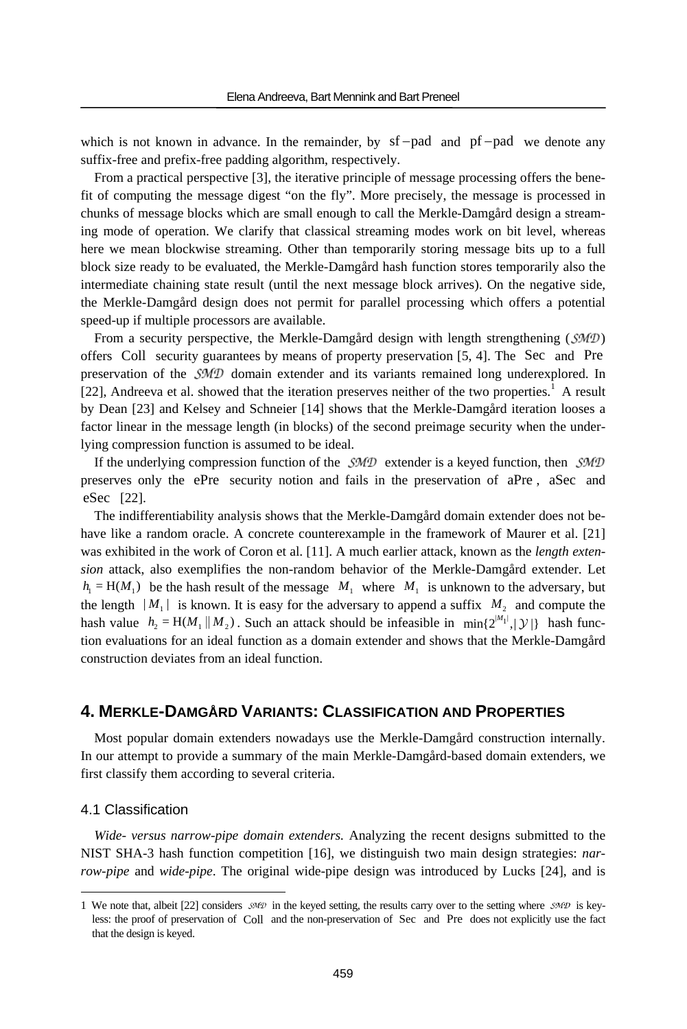which is not known in advance. In the remainder, by  $sf-pad$  and  $pf-pad$  we denote any suffix-free and prefix-free padding algorithm, respectively.

From a practical perspective [3], the iterative principle of message processing offers the benefit of computing the message digest "on the fly". More precisely, the message is processed in chunks of message blocks which are small enough to call the Merkle-Damgård design a streaming mode of operation. We clarify that classical streaming modes work on bit level, whereas here we mean blockwise streaming. Other than temporarily storing message bits up to a full block size ready to be evaluated, the Merkle-Damgård hash function stores temporarily also the intermediate chaining state result (until the next message block arrives). On the negative side, the Merkle-Damgård design does not permit for parallel processing which offers a potential speed-up if multiple processors are available.

From a security perspective, the Merkle-Damgård design with length strengthening ( $\mathcal{SMD}$ ) offers Coll security guarantees by means of property preservation [5, 4]. The Sec and Pre preservation of the  $\mathcal{SMD}$  domain extender and its variants remained long underexplored. In [22], Andreeva et al. showed that the iteration preserves neither of the two properties.<sup>1</sup> A result by Dean [23] and Kelsey and Schneier [14] shows that the Merkle-Damgård iteration looses a factor linear in the message length (in blocks) of the second preimage security when the underlying compression function is assumed to be ideal.

If the underlying compression function of the  $\mathcal{SMD}$  extender is a keyed function, then  $\mathcal{SMD}$ preserves only the ePre security notion and fails in the preservation of aPre , aSec and eSec [22].

The indifferentiability analysis shows that the Merkle-Damgård domain extender does not behave like a random oracle. A concrete counterexample in the framework of Maurer et al. [21] was exhibited in the work of Coron et al. [11]. A much earlier attack, known as the *length extension* attack, also exemplifies the non-random behavior of the Merkle-Damgård extender. Let  $h_1 = H(M_1)$  be the hash result of the message  $M_1$  where  $M_1$  is unknown to the adversary, but the length  $|M_1|$  is known. It is easy for the adversary to append a suffix  $M_2$  and compute the hash value  $h_2 = H(M_1 || M_2)$ . Such an attack should be infeasible in  $\min\{2^{|M_1|}, |\mathcal{Y}|\}$  hash function evaluations for an ideal function as a domain extender and shows that the Merkle-Damgård construction deviates from an ideal function.

# **4. MERKLE-DAMGÅRD VARIANTS: CLASSIFICATION AND PROPERTIES**

Most popular domain extenders nowadays use the Merkle-Damgård construction internally. In our attempt to provide a summary of the main Merkle-Damgård-based domain extenders, we first classify them according to several criteria.

### 4.1 Classification

 $\overline{a}$ 

*Wide- versus narrow-pipe domain extenders.* Analyzing the recent designs submitted to the NIST SHA-3 hash function competition [16], we distinguish two main design strategies: *narrow-pipe* and *wide-pipe*. The original wide-pipe design was introduced by Lucks [24], and is

<sup>1</sup> We note that, albeit [22] considers  $\mathcal{SMD}$  in the keyed setting, the results carry over to the setting where  $\mathcal{SMD}$  is keyless: the proof of preservation of Coll and the non-preservation of Sec and Pre does not explicitly use the fact that the design is keyed.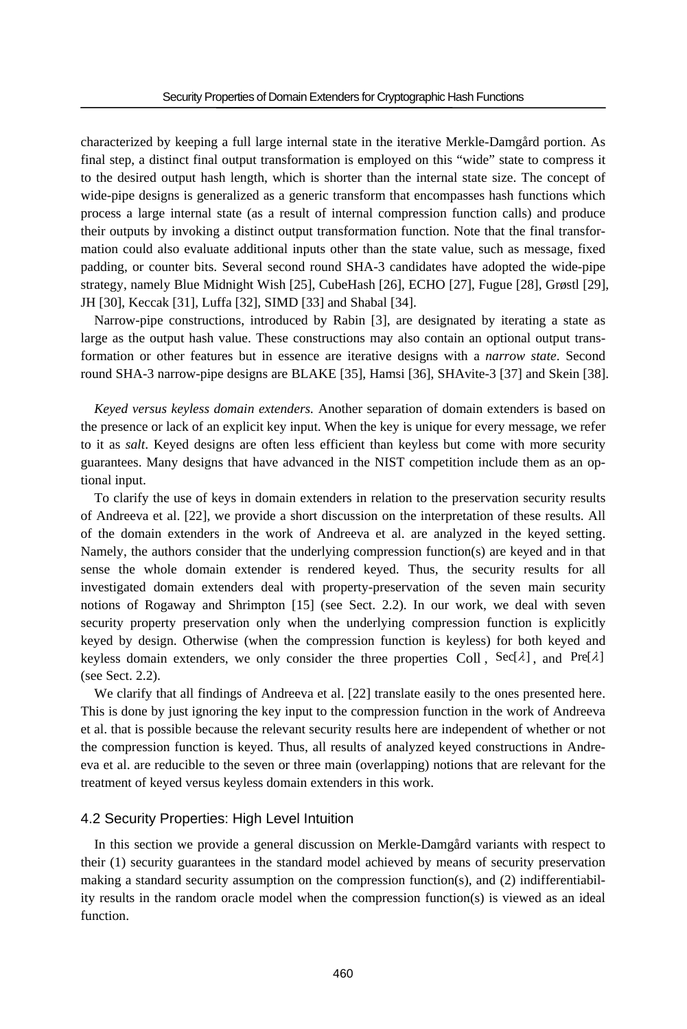characterized by keeping a full large internal state in the iterative Merkle-Damgård portion. As final step, a distinct final output transformation is employed on this "wide" state to compress it to the desired output hash length, which is shorter than the internal state size. The concept of wide-pipe designs is generalized as a generic transform that encompasses hash functions which process a large internal state (as a result of internal compression function calls) and produce their outputs by invoking a distinct output transformation function. Note that the final transformation could also evaluate additional inputs other than the state value, such as message, fixed padding, or counter bits. Several second round SHA-3 candidates have adopted the wide-pipe strategy, namely Blue Midnight Wish [25], CubeHash [26], ECHO [27], Fugue [28], Grøstl [29], JH [30], Keccak [31], Luffa [32], SIMD [33] and Shabal [34].

Narrow-pipe constructions, introduced by Rabin [3], are designated by iterating a state as large as the output hash value. These constructions may also contain an optional output transformation or other features but in essence are iterative designs with a *narrow state*. Second round SHA-3 narrow-pipe designs are BLAKE [35], Hamsi [36], SHAvite-3 [37] and Skein [38].

*Keyed versus keyless domain extenders.* Another separation of domain extenders is based on the presence or lack of an explicit key input. When the key is unique for every message, we refer to it as *salt*. Keyed designs are often less efficient than keyless but come with more security guarantees. Many designs that have advanced in the NIST competition include them as an optional input.

To clarify the use of keys in domain extenders in relation to the preservation security results of Andreeva et al. [22], we provide a short discussion on the interpretation of these results. All of the domain extenders in the work of Andreeva et al. are analyzed in the keyed setting. Namely, the authors consider that the underlying compression function(s) are keyed and in that sense the whole domain extender is rendered keyed. Thus, the security results for all investigated domain extenders deal with property-preservation of the seven main security notions of Rogaway and Shrimpton [15] (see Sect. 2.2). In our work, we deal with seven security property preservation only when the underlying compression function is explicitly keyed by design. Otherwise (when the compression function is keyless) for both keyed and keyless domain extenders, we only consider the three properties Coll,  $\text{Sec}[\lambda]$ , and  $\text{Pre}[\lambda]$ (see Sect. 2.2).

We clarify that all findings of Andreeva et al. [22] translate easily to the ones presented here. This is done by just ignoring the key input to the compression function in the work of Andreeva et al. that is possible because the relevant security results here are independent of whether or not the compression function is keyed. Thus, all results of analyzed keyed constructions in Andreeva et al. are reducible to the seven or three main (overlapping) notions that are relevant for the treatment of keyed versus keyless domain extenders in this work.

#### 4.2 Security Properties: High Level Intuition

In this section we provide a general discussion on Merkle-Damgård variants with respect to their (1) security guarantees in the standard model achieved by means of security preservation making a standard security assumption on the compression function(s), and  $(2)$  indifferentiability results in the random oracle model when the compression function(s) is viewed as an ideal function.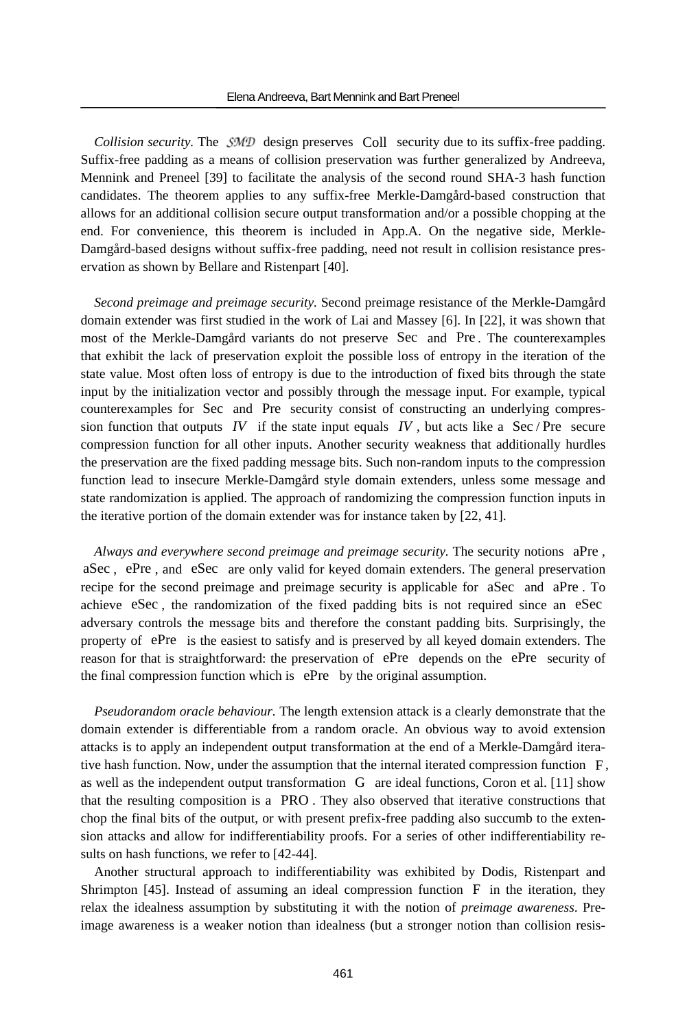*Collision security.* The  $SMD$  design preserves Coll security due to its suffix-free padding. Suffix-free padding as a means of collision preservation was further generalized by Andreeva, Mennink and Preneel [39] to facilitate the analysis of the second round SHA-3 hash function candidates. The theorem applies to any suffix-free Merkle-Damgård-based construction that allows for an additional collision secure output transformation and/or a possible chopping at the end. For convenience, this theorem is included in App.A. On the negative side, Merkle-Damgård-based designs without suffix-free padding, need not result in collision resistance preservation as shown by Bellare and Ristenpart [40].

*Second preimage and preimage security.* Second preimage resistance of the Merkle-Damgård domain extender was first studied in the work of Lai and Massey [6]. In [22], it was shown that most of the Merkle-Damgård variants do not preserve Sec and Pre . The counterexamples that exhibit the lack of preservation exploit the possible loss of entropy in the iteration of the state value. Most often loss of entropy is due to the introduction of fixed bits through the state input by the initialization vector and possibly through the message input. For example, typical counterexamples for Sec and Pre security consist of constructing an underlying compression function that outputs  $IV$  if the state input equals  $IV$ , but acts like a Sec / Pre secure compression function for all other inputs. Another security weakness that additionally hurdles the preservation are the fixed padding message bits. Such non-random inputs to the compression function lead to insecure Merkle-Damgård style domain extenders, unless some message and state randomization is applied. The approach of randomizing the compression function inputs in the iterative portion of the domain extender was for instance taken by [22, 41].

*Always and everywhere second preimage and preimage security.* The security notions aPre , aSec , ePre , and eSec are only valid for keyed domain extenders. The general preservation recipe for the second preimage and preimage security is applicable for aSec and aPre . To achieve eSec , the randomization of the fixed padding bits is not required since an eSec adversary controls the message bits and therefore the constant padding bits. Surprisingly, the property of ePre is the easiest to satisfy and is preserved by all keyed domain extenders. The reason for that is straightforward: the preservation of ePre depends on the ePre security of the final compression function which is ePre by the original assumption.

*Pseudorandom oracle behaviour.* The length extension attack is a clearly demonstrate that the domain extender is differentiable from a random oracle. An obvious way to avoid extension attacks is to apply an independent output transformation at the end of a Merkle-Damgård iterative hash function. Now, under the assumption that the internal iterated compression function F, as well as the independent output transformation G are ideal functions, Coron et al. [11] show that the resulting composition is a PRO . They also observed that iterative constructions that chop the final bits of the output, or with present prefix-free padding also succumb to the extension attacks and allow for indifferentiability proofs. For a series of other indifferentiability results on hash functions, we refer to [42-44].

Another structural approach to indifferentiability was exhibited by Dodis, Ristenpart and Shrimpton [45]. Instead of assuming an ideal compression function F in the iteration, they relax the idealness assumption by substituting it with the notion of *preimage awareness*. Preimage awareness is a weaker notion than idealness (but a stronger notion than collision resis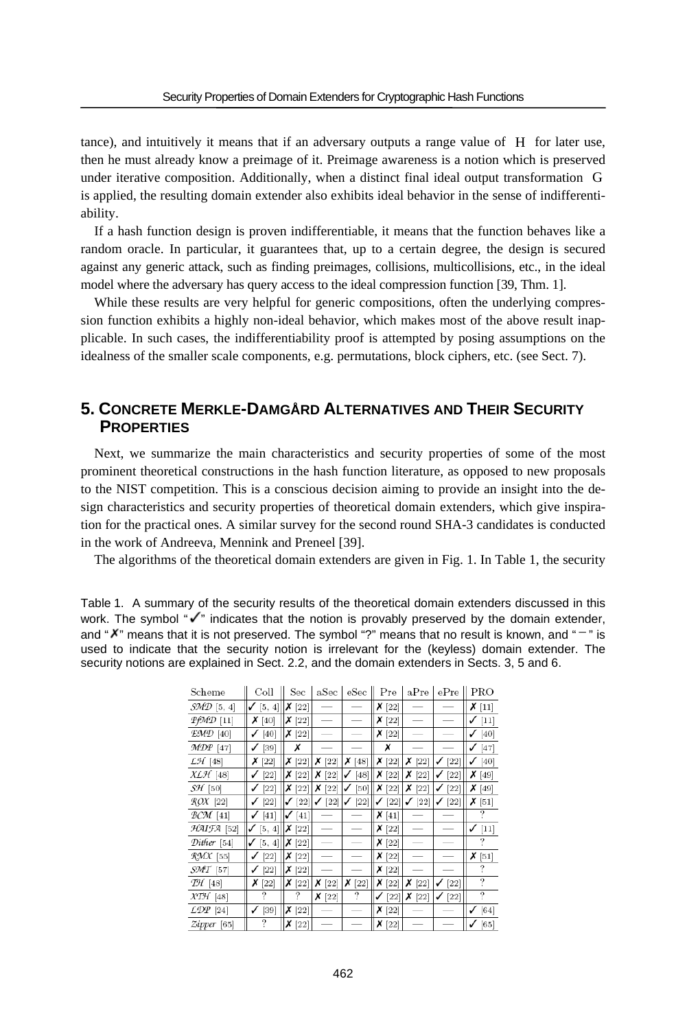tance), and intuitively it means that if an adversary outputs a range value of H for later use, then he must already know a preimage of it. Preimage awareness is a notion which is preserved under iterative composition. Additionally, when a distinct final ideal output transformation G is applied, the resulting domain extender also exhibits ideal behavior in the sense of indifferentiability.

If a hash function design is proven indifferentiable, it means that the function behaves like a random oracle. In particular, it guarantees that, up to a certain degree, the design is secured against any generic attack, such as finding preimages, collisions, multicollisions, etc., in the ideal model where the adversary has query access to the ideal compression function [39, Thm. 1].

While these results are very helpful for generic compositions, often the underlying compression function exhibits a highly non-ideal behavior, which makes most of the above result inapplicable. In such cases, the indifferentiability proof is attempted by posing assumptions on the idealness of the smaller scale components, e.g. permutations, block ciphers, etc. (see Sect. 7).

# **5. CONCRETE MERKLE-DAMGÅRD ALTERNATIVES AND THEIR SECURITY PROPERTIES**

Next, we summarize the main characteristics and security properties of some of the most prominent theoretical constructions in the hash function literature, as opposed to new proposals to the NIST competition. This is a conscious decision aiming to provide an insight into the design characteristics and security properties of theoretical domain extenders, which give inspiration for the practical ones. A similar survey for the second round SHA-3 candidates is conducted in the work of Andreeva, Mennink and Preneel [39].

The algorithms of the theoretical domain extenders are given in Fig. 1. In Table 1, the security

Table 1. A summary of the security results of the theoretical domain extenders discussed in this work. The symbol " $\checkmark$ " indicates that the notion is provably preserved by the domain extender, and " $X$ " means that it is not preserved. The symbol "?" means that no result is known, and " $-$ " is used to indicate that the security notion is irrelevant for the (keyless) domain extender. The security notions are explained in Sect. 2.2, and the domain extenders in Sects. 3, 5 and 6.

| Scheme                           | $_{\rm{Coll}}$         | $_{\mathrm{Sec}}$ | aSec        | eSec        | Pre         | aPre        | ePre         | PRO         |
|----------------------------------|------------------------|-------------------|-------------|-------------|-------------|-------------|--------------|-------------|
| $\mathcal{SMD}$ [5, 4]           | [5, 4]                 | х<br>$[22]$       |             |             | х<br>[22]   |             |              | $X$ [11]    |
| $PfMD$ [11]                      | х<br>[40]              | х<br>[22]         |             |             | х<br>$[22]$ |             |              | $[11]$<br>✓ |
| EMD [40]                         | [40]                   | х<br>$[22]$       |             |             | Х<br>$[22]$ |             |              | [40]<br>✓   |
| MDP [47]                         | $[39]$<br>$\checkmark$ | Х                 |             |             | х           |             |              | ✓<br>$[47]$ |
| $L\mathcal{H}$ [48]              | х<br>$[22]$            | X[22]             | х<br>[22]   | X[48]       | $X$ [22]    | х<br>$[22]$ | [22]         | [40]        |
| $X \mathcal{L} \mathcal{H}$ [48] | $[22]$                 | х<br>$[22]$       | х<br>$[22]$ | 48<br>✓     | Х<br>$[22]$ | х<br>[22]   | $^{22}$<br>✓ | х<br>49     |
| $S\mathcal{H}$ [50]              | [22]                   | х<br>$[22]$       | х<br>$[22]$ | [50]<br>✓   | х<br>$[22]$ | х<br>$[22]$ | $^{22}$<br>✓ | х<br>[49]   |
| $ROX$ [22]                       | [22]                   | $[22]$            | $[22]$      | $[22]$      | $[22]$<br>✓ | $[22]$      | 22]          | х<br>$[51]$ |
| $BCM$ [41]                       | $[41]$<br>✓            | [41]              |             |             | х<br>$[41]$ |             |              | ?           |
| HAIFA [52]                       | [5, 4]<br>✓            | Х<br>$[22]$       |             |             | х<br>$[22]$ |             |              | $[11]$<br>✓ |
| Dither [54]                      | [5, 4]<br>$\checkmark$ | $X$ [22]          |             |             | $X$ [22]    |             |              | ?           |
| RMX [55]                         | [22]                   | X[22]             |             |             | $X$ [22]    |             |              | X[51]       |
| $SMT$ [57]                       | $[22]$<br>✓            | $X$ [22]          |             |             | $X$ [22]    |             |              | ?           |
| $TH$ [48]                        | х<br>[22]              | х<br>$[22]$       | Х<br>[22]   | Х<br>$[22]$ | Х<br>$[22]$ | х<br>$[22]$ | $[22]$<br>✓  | ?           |
| $XTH$ [48]                       | ?                      | ?                 | х<br>$[22]$ | ?           | $[22]$      | х<br>$[22]$ | 22]<br>✓     | ?           |
| $\angle DP$ [24]                 | [39]                   | х<br>$[22]$       |             |             | х<br>$[22]$ |             |              | [64]<br>✓   |
| Zipper [65]                      | ?                      | х<br>$[22]$       |             |             | х<br>$[22]$ |             |              | $[65]$      |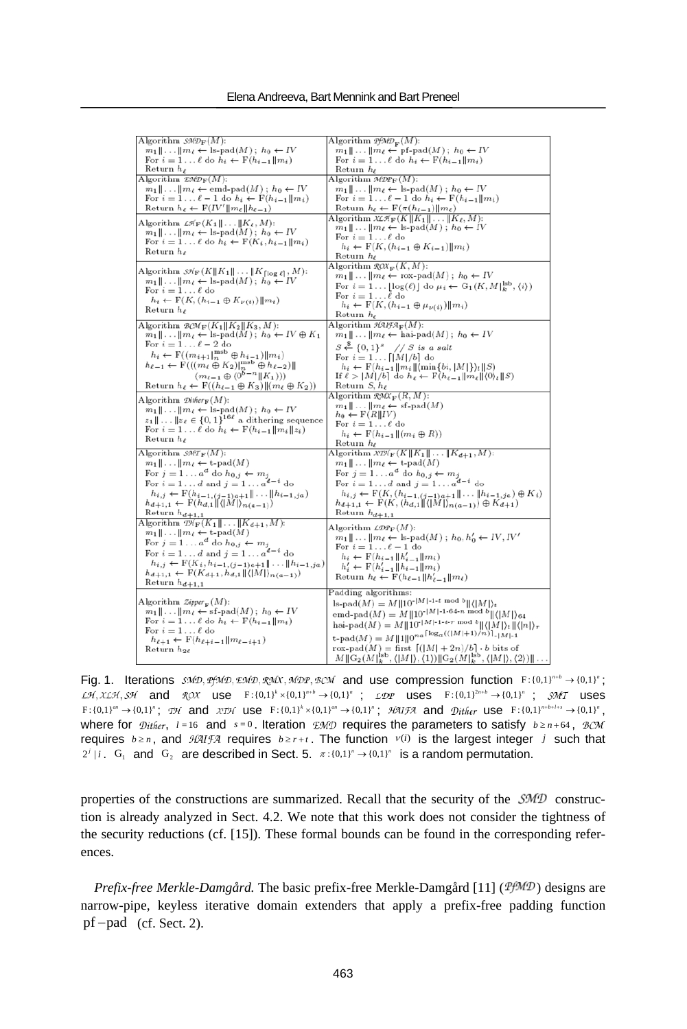| Algorithm $\mathcal{SMD}_{\mathbf{F}}(M)$ :                                                                                                                     | Algorithm $\mathcal{PMD}_{\mathbf{F}}(M)$ :                                                                                                                            |
|-----------------------------------------------------------------------------------------------------------------------------------------------------------------|------------------------------------------------------------------------------------------------------------------------------------------------------------------------|
| $m_1 \parallel \ldots \parallel m_\ell \leftarrow \text{ls-pad}(M)$ ; $h_0 \leftarrow IV$                                                                       | $m_1 \parallel \ldots \parallel m_\ell \leftarrow \text{pf-pad}(M)$ ; $h_0 \leftarrow IV$                                                                              |
| For $i = 1 \ldots \ell$ do $h_i \leftarrow F(h_{i-1}  m_i)$                                                                                                     | For $i = 1 \ldots \ell$ do $h_i \leftarrow F(h_{i-1}  m_i)$                                                                                                            |
| Return $h_{\ell}$                                                                                                                                               | $_{\rm Return}$ $h_{\ell}$                                                                                                                                             |
| Algorithm $\mathfrak{L}M\mathcal{D}_{\mathbf{F}}(M)$ :                                                                                                          | Algorithm $\mathcal{MDP}_F(M)$ :                                                                                                                                       |
| $m_1 \parallel \ldots \parallel m_\ell \leftarrow \text{emd-pad}(M); h_0 \leftarrow IV$                                                                         | $m_1 \parallel \ldots \parallel m_\ell \leftarrow \text{ls-pad}(M); h_0 \leftarrow IV$                                                                                 |
| For $i = 1 \ldots \ell - 1$ do $h_i \leftarrow F(h_{i-1}  m_i)$                                                                                                 | For $i = 1 \ldots \ell - 1$ do $h_i \leftarrow F(h_{i-1}  m_i)$                                                                                                        |
| Return $h_{\ell} \leftarrow F(IV'    m_{\ell}    h_{\ell-1})$                                                                                                   | Return $h_{\ell} \leftarrow F(\pi(h_{\ell-1}) \  m_{\ell})$                                                                                                            |
| Algorithm $\mathcal{LH}_F(K_1 \  \dots \  K_\ell, M)$ :                                                                                                         | Algorithm $\mathcal{X}\mathcal{H}_{\mathbf{F}}(K  K_1  \ldots  K_{\ell},M)$ :                                                                                          |
| $m_1 \, \ldots \, \vert m_\ell \leftarrow \, \text{ls-pad}(M) \, ; \, h_0 \leftarrow \, IV$                                                                     | $m_1 \parallel \ldots \parallel m_\ell \leftarrow \text{ls-pad}(M)$ ; $h_0 \leftarrow IV$                                                                              |
| For $i = 1 \ldots \ell$ do $h_i \leftarrow F(K_i, h_{i-1}    m_i)$                                                                                              | For $i=1\ldots\ell$ do                                                                                                                                                 |
| Return $h_{\ell}$                                                                                                                                               | $h_i \leftarrow F(K, (h_{i-1} \oplus K_{i-1})    m_i)$<br>Return $h_{\ell}$                                                                                            |
|                                                                                                                                                                 | Algorithm $\mathcal{R}\mathcal{O}\mathcal{X}_{\mathbf{F}}(K,M)$ :                                                                                                      |
| Algorithm $\mathcal{H}_{\mathbf{F}}(K  K_1   \dots    K_{\lceil \log \ell \rceil}, M)$ :                                                                        | $m_1 \  \dots \  m_\ell \leftarrow \text{rox-pad}(M)$ ; $h_0 \leftarrow IV$                                                                                            |
| $m_1 \  \dots \  m_\ell \leftarrow \text{ls-pad}(M)$ ; $h_0 \leftarrow IV$                                                                                      | For $i = 1 \dots \lfloor \log(\ell) \rfloor$ do $\mu_i \leftarrow G_1(K, M]^{\text{lsb}}_k, \langle i \rangle)$                                                        |
| For $i=1\dots\ell$ do                                                                                                                                           | For $i=1\dots\ell$ do                                                                                                                                                  |
| $h_i \leftarrow F(K, (h_{i-1} \oplus K_{\nu(i)})    m_i)$                                                                                                       | $h_i \leftarrow \mathbf{F}(K, (h_{i-1} \oplus \mu_{\nu(i)})    m_i)$                                                                                                   |
| Return $h_{\ell}$                                                                                                                                               | Return $h_{\ell}$                                                                                                                                                      |
| Algorithm $\mathcal{BCM}_{\mathbb{F}}(K_1  K_2  K_3,M)$ :                                                                                                       | Algorithm $\mathcal{H}\mathcal{H}\mathcal{H}_{\mathbf{F}}(M)$ :                                                                                                        |
| $m_1 \  \dots \  m_\ell \leftarrow \text{ls-pad}(M)$ ; $h_0 \leftarrow IV \oplus K_1$                                                                           | $m_1 \parallel \ldots \parallel m_\ell \leftarrow$ hai-pad $(M)$ ; $h_0 \leftarrow IV$                                                                                 |
| For $i=1 \ldots \ell-2$ do                                                                                                                                      |                                                                                                                                                                        |
| $h_i \leftarrow \mathbf{F}((m_{i+1} _n^{\text{msb}} \oplus h_{i-1})  m_i)$                                                                                      | $S \stackrel{S}{\leftarrow} \{0,1\}^s$ // S is a salt                                                                                                                  |
| $h_{\ell-1} \leftarrow \mathrm{F}(((m_\ell \oplus K_2)\vert_{n}^{\text{msb}} \oplus h_{\ell-2})\Vert$                                                           | For $i = 1 \ldots \lfloor  M /b \rfloor$ do<br>$h_i \leftarrow \mathbf{F}(h_{i-1}  m_i  \langle \min\{bi,  M \}\rangle_i  S)$                                          |
| $(m_{\ell-1} \oplus (0^{b-n}    K_1)))$                                                                                                                         | If $\ell >  M /b$ do $h_{\ell} \leftarrow F(h_{\ell-1}  m_{\ell}  \langle 0 \rangle_{\ell}  S)$                                                                        |
| Return $h_{\ell} \leftarrow F((h_{\ell-1} \oplus K_3)    (m_{\ell} \oplus K_2))$                                                                                | Return $S, h_{\ell}$                                                                                                                                                   |
|                                                                                                                                                                 | Algorithm $\mathcal{R}M\mathcal{X}_F(R,M)$ :                                                                                                                           |
| Algorithm $\mathcal{D}$ ither $_{\mathbf{F}}(M)$ :                                                                                                              | $m_1 \ \ldots\  m_\ell \leftarrow \text{sf-pad}(M)$                                                                                                                    |
| $m_1 \  \dots \  m_\ell \leftarrow \text{ls-pad}(M); h_0 \leftarrow IV$                                                                                         | $h_0 \leftarrow F(R  IV)$                                                                                                                                              |
| $z_1 \ \ldots\  z_\ell \in \{0,1\}^{16\ell}$ a dithering sequence                                                                                               | For $i=1\ldots\ell$ do                                                                                                                                                 |
| For $i = 1 \ldots \ell$ do $h_i \leftarrow F(h_{i-1}    m_i    z_i)$                                                                                            | $h_i \leftarrow \mathbf{F}(h_{i-1} \parallel (m_i \oplus R))$                                                                                                          |
| Return $h_{\ell}$                                                                                                                                               | Return $h_{\ell}$                                                                                                                                                      |
| Algorithm $\mathcal{SMT}_{\mathbf{F}}(M)$ :                                                                                                                     | Algorithm $\mathcal{X} \mathcal{D} \mathcal{C}_F(K \  K_1 \  \dots \  K_{d+1}, M)$ :                                                                                   |
| $m_1 \, \ldots \, \vert \, m_\ell \leftarrow \text{t-pad}(M)$                                                                                                   | $m_1 \ \ldots\  m_\ell \leftarrow \text{t-pad}(M)$                                                                                                                     |
| For $j = 1 \ldots a^d$ do $h_{0,j} \leftarrow m_j$                                                                                                              | For $j = 1 \ldots a^d$ do $h_{0,j} \leftarrow m_j$                                                                                                                     |
| For $i = 1 \ldots d$ and $j = 1 \ldots a^{d-i}$ do                                                                                                              | For $i = 1 \ldots d$ and $j = 1 \ldots a^{d-i}$ do                                                                                                                     |
| $\substack{h_{i,j} \leftarrow \mathcal{F}(h_{i-1,(j-1)a+1} \  \dots \  h_{i-1,ja})}{h_{d+1,1} \leftarrow \mathcal{F}(h_{d,1} \  \langle  M  \rangle_{n(a-1)})}$ | $h_{i,j} \leftarrow F(K, (h_{i-1,(j-1)a+1} \  \dots \  h_{i-1,ja}) \oplus K_i)$                                                                                        |
|                                                                                                                                                                 | $h_{d+1,1} \leftarrow F(K, (h_{d,1}  \langle  M  \rangle_{n(a-1)}) \oplus K_{d+1})$                                                                                    |
| Return $h_{d+1,1}$                                                                                                                                              | Return $h_{d+1,1}$                                                                                                                                                     |
| Algorithm $\mathcal{D}\!\ell_{\mathbf{F}}(K_1 \  \dots \  K_{d+1}, M)$ :                                                                                        | Algorithm $\mathcal{LDP}_F(M)$ :                                                                                                                                       |
| $m_1 \parallel \ldots \parallel m_\ell \leftarrow \text{t-pad}(M)$                                                                                              | $m_1 \  \dots \  m_\ell \leftarrow \text{ls-pad}(M)$ ; $h_0, h'_0 \leftarrow IV, IV'$                                                                                  |
| For $j = 1 \ldots a^d$ do $h_{0,j} \leftarrow m_j$                                                                                                              | For $i=1\ldots \ell-1$ do                                                                                                                                              |
| For $i=1\ldots d$ and $j=1\ldots a^{d-i}$ do                                                                                                                    | $h_i \leftarrow F(h_{i-1}    h'_{i-1}    m_i)$                                                                                                                         |
| $h_{i,j} \leftarrow F(K_i, h_{i-1,(j-1)a+1} \  \dots \  h_{i-1,ja})$                                                                                            | $h'_i \leftarrow F(h'_{i-1}    h_{i-1}    m_i)$                                                                                                                        |
| $h_{d+1,1} \leftarrow F(K_{d+1}, h_{d,1}    \langle  M  \rangle_{n(a-1)})$                                                                                      | Return $h_{\ell} \leftarrow F(h_{\ell-1}    h'_{\ell-1}    m_{\ell})$                                                                                                  |
| Return $h_{d+1,1}$                                                                                                                                              |                                                                                                                                                                        |
|                                                                                                                                                                 | Padding algorithms:                                                                                                                                                    |
| Algorithm $\mathcal{Z}ipper_{\mathbf{F}}(M)$ :                                                                                                                  | $\text{ls-pad}(M) = M    10^{- M -1-t} \bmod b    \langle  M  \rangle_t$                                                                                               |
| $m_1 \  \dots \  m_\ell \leftarrow \text{sf-pad}(M)$ ; $h_0 \leftarrow IV$<br>For $i = 1 \ldots \ell$ do $h_i \leftarrow F(h_{i-1}  m_i)$                       | emd-pad $(M) = M  10^{- M -1-64-n \text{ mod } b}  \langle  M  \rangle_{64}$                                                                                           |
| For $i=1\dots\ell$ do                                                                                                                                           | $\mathrm{hai\text{-}pad}(M)=M\ \boldsymbol{1}0^{\text{-} \boldsymbol{M}\ \text{-1-t-r mod }b}\ \langle \boldsymbol{M} \rangle_t\ \langle \boldsymbol{n} \rangle_r$     |
| $h_{\ell+1} \leftarrow F(h_{\ell+i-1}  m_{\ell-i+1})$                                                                                                           | $t\text{-}\text{pad}(M) = M  1  0^{n_a \lceil \log_a(( M +1)/n) \rceil} \cdot  M  \cdot 1$                                                                             |
| Return $h_{2\ell}$                                                                                                                                              | rox-pad(M) = first $[( M  + 2n)/b] \cdot b$ bits of                                                                                                                    |
|                                                                                                                                                                 | $M \ \mathcal{G}_2(M)\ _k^{\text{lsb}}, \langle  M  \rangle, \langle 1 \rangle) \ \mathcal{G}_2(M)\ _k^{\text{lsb}}, \langle  M  \rangle, \langle 2 \rangle) \  \dots$ |

Fig. 1. Iterations  $\mathcal{SMD}, \mathcal{BMD}, \mathcal{BMD}, \mathcal{BMD}, \mathcal{BMD}, \mathcal{BCM}$  and use compression function  $F : \{0,1\}^{n+b} \rightarrow \{0,1\}^n$ ;  $\mathcal{L}\mathcal{H}, \mathcal{KL}\mathcal{H}, \mathcal{SH}$  and  $\mathcal{R}\mathcal{O}\mathcal{X}$  use  $F: \{0,1\}^{k} \times \{0,1\}^{n+b} \rightarrow \{0,1\}^{n}$  ;  $\mathcal{L}\mathcal{D}P$  uses  $F: \{0,1\}^{2n+b} \rightarrow \{0,1\}^{n}$  ;  $\mathcal{S}\mathcal{M}T$  uses  $F: \{0,1\}^m \rightarrow \{0,1\}^n$ ; TH and XTH use  $F: \{0,1\}^k \times \{0,1\}^m \rightarrow \{0,1\}^n$ ; HAIFA and Dither use  $F: \{0,1\}^{n_{th+1+s}} \rightarrow \{0,1\}^n$ . where for  $Dither$ ,  $l = 16$  and  $s = 0$ . Iteration  $EMD$  requires the parameters to satisfy  $b \ge n + 64$ ,  $BCM$ requires  $b \ge n$ , and  $\mathcal{H} \mathcal{H} \mathcal{F} \mathcal{H}$  requires  $b \ge r+t$ . The function  $v(i)$  is the largest integer *j* such that  $2^{j} | i$ . G<sub>1</sub> and G<sub>2</sub> are described in Sect. 5.  $\pi : \{0,1\}^{n} \rightarrow \{0,1\}^{n}$  is a random permutation.

properties of the constructions are summarized. Recall that the security of the  $\mathcal{SMD}$  construction is already analyzed in Sect. 4.2. We note that this work does not consider the tightness of the security reductions (cf. [15]). These formal bounds can be found in the corresponding references.

*Prefix-free Merkle-Damgård.* The basic prefix-free Merkle-Damgård [11] (*PfMD*) designs are narrow-pipe, keyless iterative domain extenders that apply a prefix-free padding function  $pf$  – pad (cf. Sect. 2).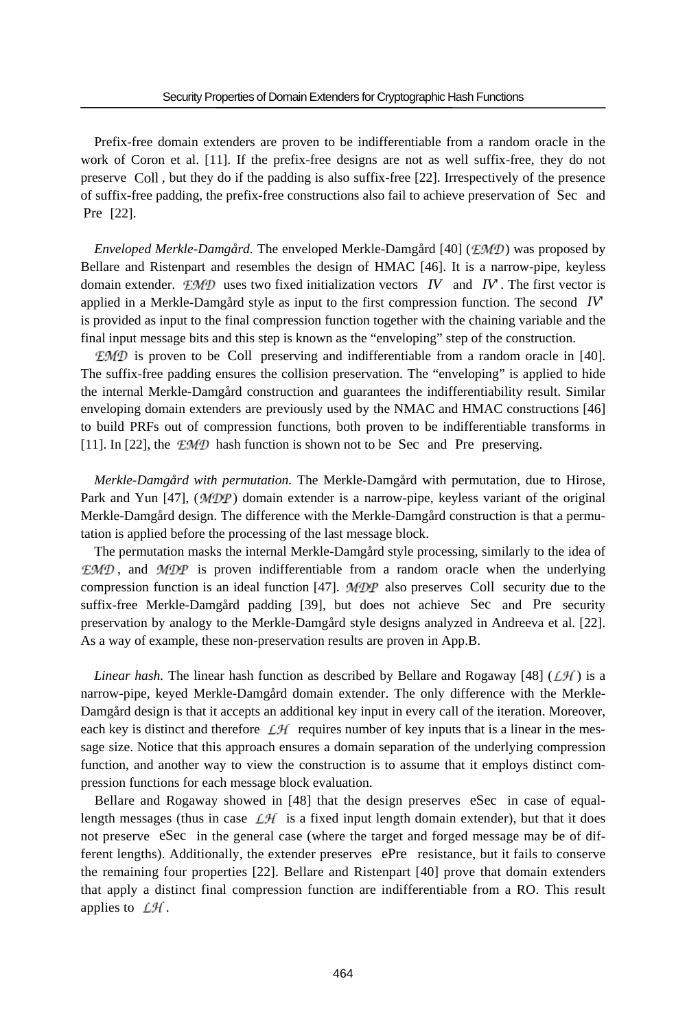Prefix-free domain extenders are proven to be indifferentiable from a random oracle in the work of Coron et al. [11]. If the prefix-free designs are not as well suffix-free, they do not preserve Coll , but they do if the padding is also suffix-free [22]. Irrespectively of the presence of suffix-free padding, the prefix-free constructions also fail to achieve preservation of Sec and Pre [22].

*Enveloped Merkle-Damgård*. The enveloped Merkle-Damgård [40] (*EMD*) was proposed by Bellare and Ristenpart and resembles the design of HMAC [46]. It is a narrow-pipe, keyless domain extender.  $EMD$  uses two fixed initialization vectors *IV* and *IV*. The first vector is applied in a Merkle-Damgård style as input to the first compression function. The second *IV*' is provided as input to the final compression function together with the chaining variable and the final input message bits and this step is known as the "enveloping" step of the construction.

 $EMD$  is proven to be Coll preserving and indifferentiable from a random oracle in [40]. The suffix-free padding ensures the collision preservation. The "enveloping" is applied to hide the internal Merkle-Damgård construction and guarantees the indifferentiability result. Similar enveloping domain extenders are previously used by the NMAC and HMAC constructions [46] to build PRFs out of compression functions, both proven to be indifferentiable transforms in [11]. In [22], the  $\mathcal{EMD}$  hash function is shown not to be Sec and Pre preserving.

*Merkle-Damgård with permutation.* The Merkle-Damgård with permutation, due to Hirose, Park and Yun [47],  $(MDP)$  domain extender is a narrow-pipe, keyless variant of the original Merkle-Damgård design. The difference with the Merkle-Damgård construction is that a permutation is applied before the processing of the last message block.

The permutation masks the internal Merkle-Damgård style processing, similarly to the idea of  $EMD$ , and  $MDP$  is proven indifferentiable from a random oracle when the underlying compression function is an ideal function [47].  $\mathcal{MDP}$  also preserves Coll security due to the suffix-free Merkle-Damgård padding [39], but does not achieve Sec and Pre security preservation by analogy to the Merkle-Damgård style designs analyzed in Andreeva et al. [22]. As a way of example, these non-preservation results are proven in App.B.

*Linear hash.* The linear hash function as described by Bellare and Rogaway [48] ( $\mathcal{LH}$ ) is a narrow-pipe, keyed Merkle-Damgård domain extender. The only difference with the Merkle-Damgård design is that it accepts an additional key input in every call of the iteration. Moreover, each key is distinct and therefore  $\mathcal{L}\mathcal{H}$  requires number of key inputs that is a linear in the message size. Notice that this approach ensures a domain separation of the underlying compression function, and another way to view the construction is to assume that it employs distinct compression functions for each message block evaluation.

Bellare and Rogaway showed in [48] that the design preserves eSec in case of equallength messages (thus in case  $\mathcal{L}H$  is a fixed input length domain extender), but that it does not preserve eSec in the general case (where the target and forged message may be of different lengths). Additionally, the extender preserves ePre resistance, but it fails to conserve the remaining four properties [22]. Bellare and Ristenpart [40] prove that domain extenders that apply a distinct final compression function are indifferentiable from a RO. This result applies to  $LH$ .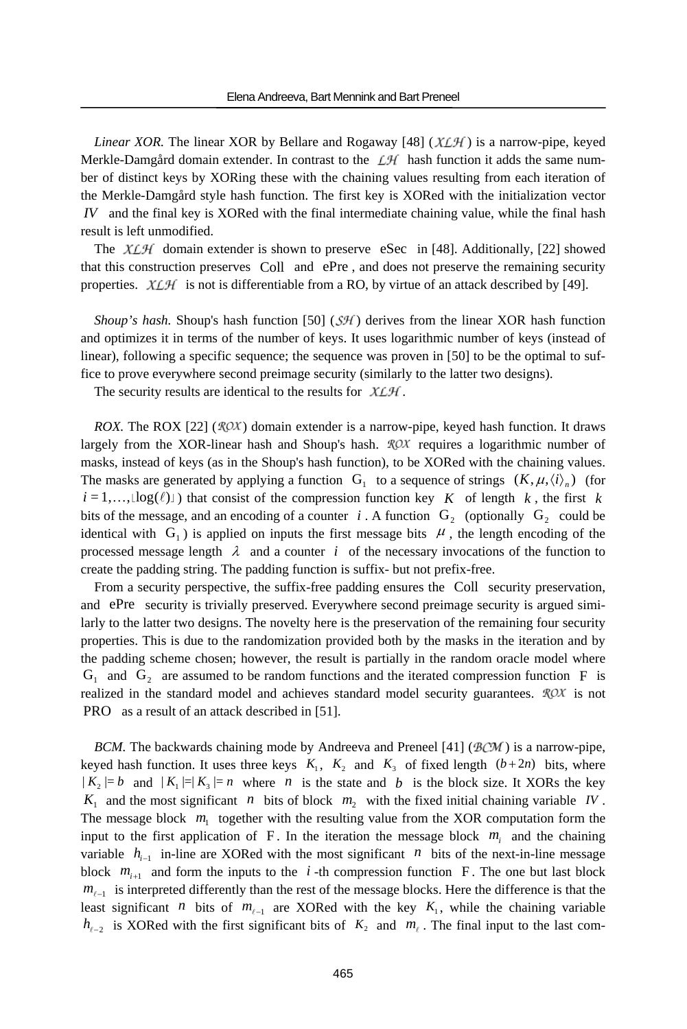*Linear XOR.* The linear XOR by Bellare and Rogaway [48] ( $XLM$ ) is a narrow-pipe, keyed Merkle-Damgård domain extender. In contrast to the  $\mathcal{L}H$  hash function it adds the same number of distinct keys by XORing these with the chaining values resulting from each iteration of the Merkle-Damgård style hash function. The first key is XORed with the initialization vector *IV* and the final key is XORed with the final intermediate chaining value, while the final hash result is left unmodified.

The  $XLM$  domain extender is shown to preserve eSec in [48]. Additionally, [22] showed that this construction preserves Coll and ePre , and does not preserve the remaining security properties.  $X \mathcal{L} \mathcal{H}$  is not is differentiable from a RO, by virtue of an attack described by [49].

*Shoup's hash.* Shoup's hash function [50]  $(SH)$  derives from the linear XOR hash function and optimizes it in terms of the number of keys. It uses logarithmic number of keys (instead of linear), following a specific sequence; the sequence was proven in [50] to be the optimal to suffice to prove everywhere second preimage security (similarly to the latter two designs).

The security results are identical to the results for  $X \mathcal{L} \mathcal{H}$ .

*ROX.* The ROX [22] ( $\mathcal{ROX}$ ) domain extender is a narrow-pipe, keyed hash function. It draws largely from the XOR-linear hash and Shoup's hash.  $ROX$  requires a logarithmic number of masks, instead of keys (as in the Shoup's hash function), to be XORed with the chaining values. The masks are generated by applying a function  $G_1$  to a sequence of strings  $(K, \mu, \langle i \rangle_n)$  (for  $i = 1, \ldots, \lfloor \log(\ell) \rfloor$  that consist of the compression function key *K* of length *k*, the first *k* bits of the message, and an encoding of a counter *i*. A function  $G_2$  (optionally  $G_2$  could be identical with  $G_1$ ) is applied on inputs the first message bits  $\mu$ , the length encoding of the processed message length  $\lambda$  and a counter *i* of the necessary invocations of the function to create the padding string. The padding function is suffix- but not prefix-free.

From a security perspective, the suffix-free padding ensures the Coll security preservation, and ePre security is trivially preserved. Everywhere second preimage security is argued similarly to the latter two designs. The novelty here is the preservation of the remaining four security properties. This is due to the randomization provided both by the masks in the iteration and by the padding scheme chosen; however, the result is partially in the random oracle model where  $G_1$  and  $G_2$  are assumed to be random functions and the iterated compression function F is realized in the standard model and achieves standard model security guarantees.  $\mathcal{R}OX$  is not PRO as a result of an attack described in [51].

*BCM*. The backwards chaining mode by Andreeva and Preneel [41] ( $\mathcal{BCM}$ ) is a narrow-pipe, keyed hash function. It uses three keys  $K_1$ ,  $K_2$  and  $K_3$  of fixed length  $(b+2n)$  bits, where  $|K_2| = b$  and  $|K_1| = |K_3| = n$  where *n* is the state and *b* is the block size. It XORs the key  $K_1$  and the most significant *n* bits of block  $m_2$  with the fixed initial chaining variable *IV*. The message block  $m<sub>1</sub>$  together with the resulting value from the XOR computation form the input to the first application of  $F$ . In the iteration the message block  $m<sub>i</sub>$  and the chaining variable  $h_{i-1}$  in-line are XORed with the most significant *n* bits of the next-in-line message block  $m_{i+1}$  and form the inputs to the *i*-th compression function F. The one but last block  $m_{\ell-1}$  is interpreted differently than the rest of the message blocks. Here the difference is that the least significant *n* bits of  $m_{\ell-1}$  are XORed with the key  $K_1$ , while the chaining variable  $h_{\ell-2}$  is XORed with the first significant bits of  $K_2$  and  $m_\ell$ . The final input to the last com-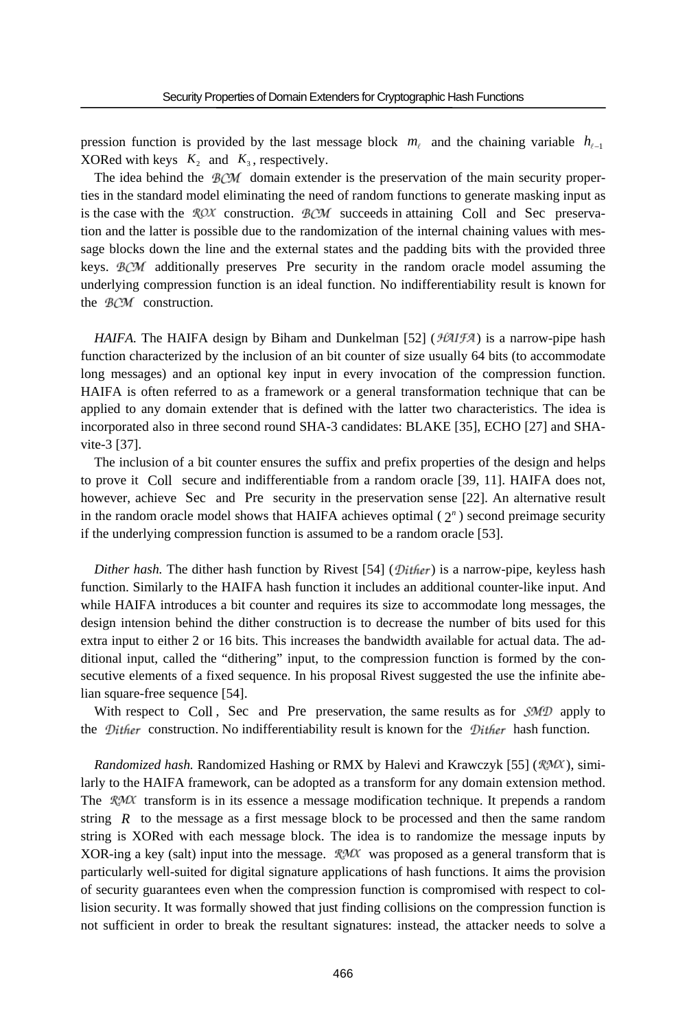pression function is provided by the last message block  $m_\ell$  and the chaining variable  $h_{\ell-1}$ XORed with keys  $K_2$  and  $K_3$ , respectively.

The idea behind the  $BCM$  domain extender is the preservation of the main security properties in the standard model eliminating the need of random functions to generate masking input as is the case with the  $ROX$  construction.  $BCM$  succeeds in attaining Coll and Sec preservation and the latter is possible due to the randomization of the internal chaining values with message blocks down the line and the external states and the padding bits with the provided three keys.  $BCM$  additionally preserves Pre security in the random oracle model assuming the underlying compression function is an ideal function. No indifferentiability result is known for the  $BCM$  construction.

*HAIFA*. The HAIFA design by Biham and Dunkelman [52] ( $\mathcal{H}\mathcal{A}I\mathcal{F}\mathcal{A}$ ) is a narrow-pipe hash function characterized by the inclusion of an bit counter of size usually 64 bits (to accommodate long messages) and an optional key input in every invocation of the compression function. HAIFA is often referred to as a framework or a general transformation technique that can be applied to any domain extender that is defined with the latter two characteristics. The idea is incorporated also in three second round SHA-3 candidates: BLAKE [35], ECHO [27] and SHAvite-3 [37].

The inclusion of a bit counter ensures the suffix and prefix properties of the design and helps to prove it Coll secure and indifferentiable from a random oracle [39, 11]. HAIFA does not, however, achieve Sec and Pre security in the preservation sense [22]. An alternative result in the random oracle model shows that HAIFA achieves optimal  $(2<sup>n</sup>)$  second preimage security if the underlying compression function is assumed to be a random oracle [53].

*Dither hash.* The dither hash function by Rivest [54] ( $\mathcal{D}$ *ither*) is a narrow-pipe, keyless hash function. Similarly to the HAIFA hash function it includes an additional counter-like input. And while HAIFA introduces a bit counter and requires its size to accommodate long messages, the design intension behind the dither construction is to decrease the number of bits used for this extra input to either 2 or 16 bits. This increases the bandwidth available for actual data. The additional input, called the "dithering" input, to the compression function is formed by the consecutive elements of a fixed sequence. In his proposal Rivest suggested the use the infinite abelian square-free sequence [54].

With respect to Coll, Sec and Pre preservation, the same results as for  $\mathcal{SMD}$  apply to the *Dither* construction. No indifferentiability result is known for the *Dither* hash function.

*Randomized hash.* Randomized Hashing or RMX by Halevi and Krawczyk [55] (*RMX*), similarly to the HAIFA framework, can be adopted as a transform for any domain extension method. The  $RMX$  transform is in its essence a message modification technique. It prepends a random string *R* to the message as a first message block to be processed and then the same random string is XORed with each message block. The idea is to randomize the message inputs by XOR-ing a key (salt) input into the message.  $\mathcal{RM}$  was proposed as a general transform that is particularly well-suited for digital signature applications of hash functions. It aims the provision of security guarantees even when the compression function is compromised with respect to collision security. It was formally showed that just finding collisions on the compression function is not sufficient in order to break the resultant signatures: instead, the attacker needs to solve a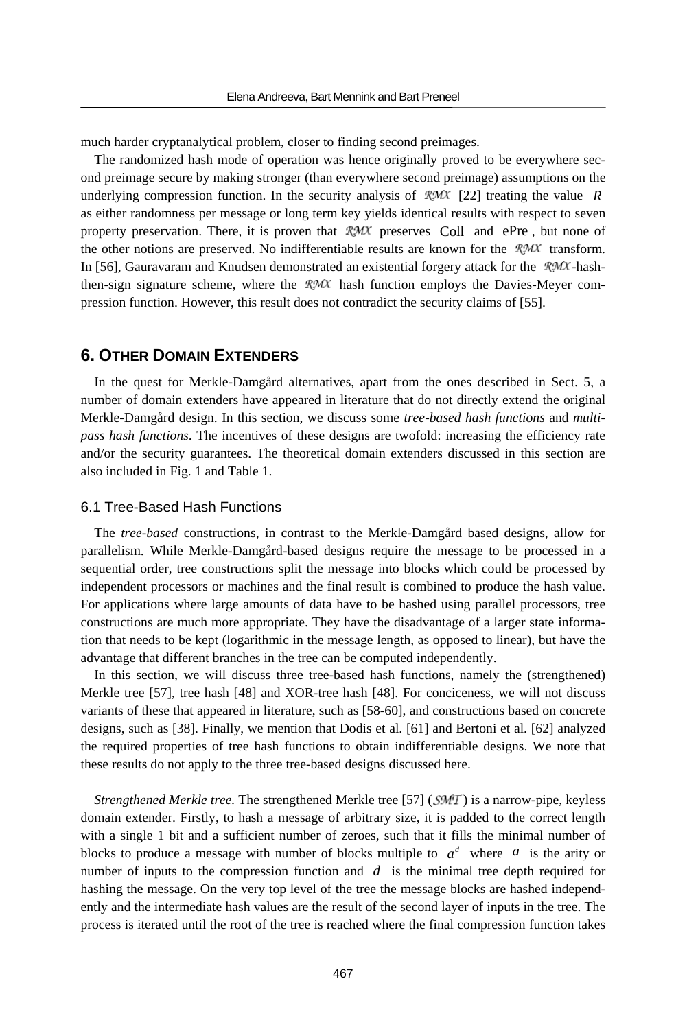much harder cryptanalytical problem, closer to finding second preimages.

The randomized hash mode of operation was hence originally proved to be everywhere second preimage secure by making stronger (than everywhere second preimage) assumptions on the underlying compression function. In the security analysis of  $\mathcal{R}\mathcal{M}\mathcal{X}$  [22] treating the value *R* as either randomness per message or long term key yields identical results with respect to seven property preservation. There, it is proven that  $\mathcal{R}\mathcal{M}\mathcal{X}$  preserves Coll and ePre, but none of the other notions are preserved. No indifferentiable results are known for the  $RMX$  transform. In [56], Gauravaram and Knudsen demonstrated an existential forgery attack for the  $RMX$ -hashthen-sign signature scheme, where the  $\mathcal{RM}$  hash function employs the Davies-Meyer compression function. However, this result does not contradict the security claims of [55].

# **6. OTHER DOMAIN EXTENDERS**

In the quest for Merkle-Damgård alternatives, apart from the ones described in Sect. 5, a number of domain extenders have appeared in literature that do not directly extend the original Merkle-Damgård design. In this section, we discuss some *tree-based hash functions* and *multipass hash functions*. The incentives of these designs are twofold: increasing the efficiency rate and/or the security guarantees. The theoretical domain extenders discussed in this section are also included in Fig. 1 and Table 1.

### 6.1 Tree-Based Hash Functions

The *tree-based* constructions, in contrast to the Merkle-Damgård based designs, allow for parallelism. While Merkle-Damgård-based designs require the message to be processed in a sequential order, tree constructions split the message into blocks which could be processed by independent processors or machines and the final result is combined to produce the hash value. For applications where large amounts of data have to be hashed using parallel processors, tree constructions are much more appropriate. They have the disadvantage of a larger state information that needs to be kept (logarithmic in the message length, as opposed to linear), but have the advantage that different branches in the tree can be computed independently.

In this section, we will discuss three tree-based hash functions, namely the (strengthened) Merkle tree [57], tree hash [48] and XOR-tree hash [48]. For conciceness, we will not discuss variants of these that appeared in literature, such as [58-60], and constructions based on concrete designs, such as [38]. Finally, we mention that Dodis et al. [61] and Bertoni et al. [62] analyzed the required properties of tree hash functions to obtain indifferentiable designs. We note that these results do not apply to the three tree-based designs discussed here.

*Strengthened Merkle tree.* The strengthened Merkle tree [57] (*SMT*) is a narrow-pipe, keyless domain extender. Firstly, to hash a message of arbitrary size, it is padded to the correct length with a single 1 bit and a sufficient number of zeroes, such that it fills the minimal number of blocks to produce a message with number of blocks multiple to  $a^d$  where a is the arity or number of inputs to the compression function and *d* is the minimal tree depth required for hashing the message. On the very top level of the tree the message blocks are hashed independently and the intermediate hash values are the result of the second layer of inputs in the tree. The process is iterated until the root of the tree is reached where the final compression function takes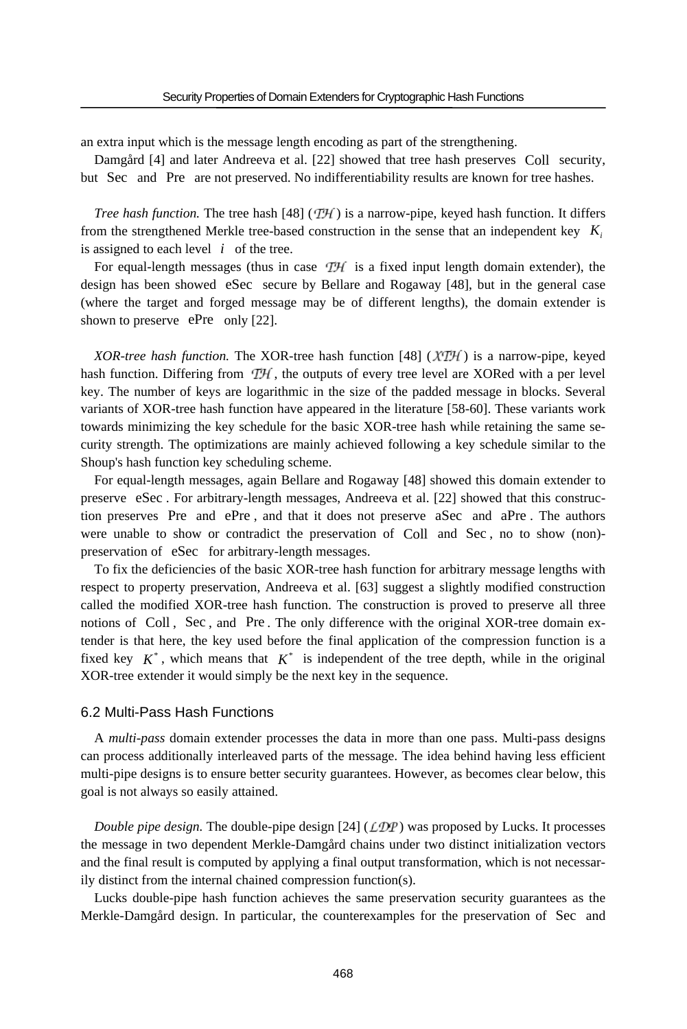an extra input which is the message length encoding as part of the strengthening.

Damgård [4] and later Andreeva et al. [22] showed that tree hash preserves Coll security, but Sec and Pre are not preserved. No indifferentiability results are known for tree hashes.

*Tree hash function.* The tree hash  $[48]$  ( $[74]$ ) is a narrow-pipe, keyed hash function. It differs from the strengthened Merkle tree-based construction in the sense that an independent key  $K_i$ is assigned to each level  $i$  of the tree.

For equal-length messages (thus in case  $T\mathcal{H}$  is a fixed input length domain extender), the design has been showed eSec secure by Bellare and Rogaway [48], but in the general case (where the target and forged message may be of different lengths), the domain extender is shown to preserve ePre only [22].

*XOR-tree hash function.* The XOR-tree hash function [48] ( $\chi \tau \bar{\tau}$ ) is a narrow-pipe, keyed hash function. Differing from  $T\mathcal{H}$ , the outputs of every tree level are XORed with a per level key. The number of keys are logarithmic in the size of the padded message in blocks. Several variants of XOR-tree hash function have appeared in the literature [58-60]. These variants work towards minimizing the key schedule for the basic XOR-tree hash while retaining the same security strength. The optimizations are mainly achieved following a key schedule similar to the Shoup's hash function key scheduling scheme.

For equal-length messages, again Bellare and Rogaway [48] showed this domain extender to preserve eSec . For arbitrary-length messages, Andreeva et al. [22] showed that this construction preserves Pre and ePre , and that it does not preserve aSec and aPre . The authors were unable to show or contradict the preservation of Coll and Sec , no to show (non) preservation of eSec for arbitrary-length messages.

To fix the deficiencies of the basic XOR-tree hash function for arbitrary message lengths with respect to property preservation, Andreeva et al. [63] suggest a slightly modified construction called the modified XOR-tree hash function. The construction is proved to preserve all three notions of Coll , Sec , and Pre . The only difference with the original XOR-tree domain extender is that here, the key used before the final application of the compression function is a fixed key  $K^*$ , which means that  $K^*$  is independent of the tree depth, while in the original XOR-tree extender it would simply be the next key in the sequence.

### 6.2 Multi-Pass Hash Functions

A *multi-pass* domain extender processes the data in more than one pass. Multi-pass designs can process additionally interleaved parts of the message. The idea behind having less efficient multi-pipe designs is to ensure better security guarantees. However, as becomes clear below, this goal is not always so easily attained.

*Double pipe design.* The double-pipe design  $[24]$  ( $\angle$ DP) was proposed by Lucks. It processes the message in two dependent Merkle-Damgård chains under two distinct initialization vectors and the final result is computed by applying a final output transformation, which is not necessarily distinct from the internal chained compression function(s).

Lucks double-pipe hash function achieves the same preservation security guarantees as the Merkle-Damgård design. In particular, the counterexamples for the preservation of Sec and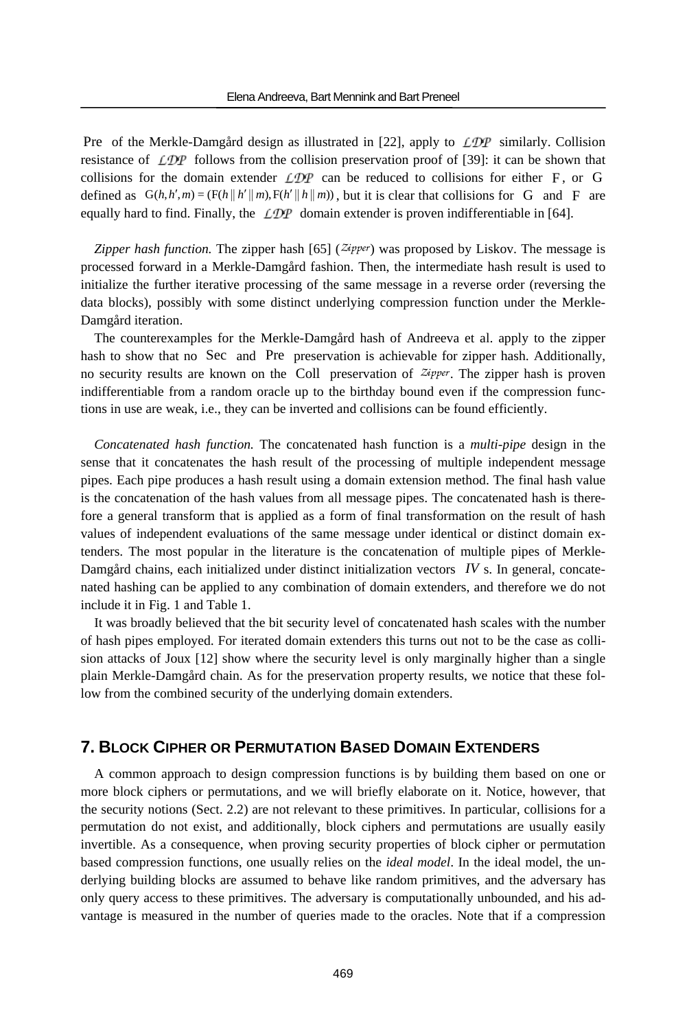Pre of the Merkle-Damgård design as illustrated in [22], apply to  $\angle D\mathcal{P}$  similarly. Collision resistance of  $\angle D\mathcal{P}$  follows from the collision preservation proof of [39]: it can be shown that collisions for the domain extender  $\mathcal{LDP}$  can be reduced to collisions for either F, or G defined as  $G(h, h', m) = (F(h || h' || m), F(h' || h || m))$ , but it is clear that collisions for G and F are equally hard to find. Finally, the  $LDP$  domain extender is proven indifferentiable in [64].

*Zipper hash function.* The zipper hash  $[65]$  ( $\mathbb{Z}$ *ipper*) was proposed by Liskov. The message is processed forward in a Merkle-Damgård fashion. Then, the intermediate hash result is used to initialize the further iterative processing of the same message in a reverse order (reversing the data blocks), possibly with some distinct underlying compression function under the Merkle-Damgård iteration.

The counterexamples for the Merkle-Damgård hash of Andreeva et al. apply to the zipper hash to show that no Sec and Pre preservation is achievable for zipper hash. Additionally, no security results are known on the Coll preservation of  $z^{i}$ pper. The zipper hash is proven indifferentiable from a random oracle up to the birthday bound even if the compression functions in use are weak, i.e., they can be inverted and collisions can be found efficiently.

*Concatenated hash function.* The concatenated hash function is a *multi-pipe* design in the sense that it concatenates the hash result of the processing of multiple independent message pipes. Each pipe produces a hash result using a domain extension method. The final hash value is the concatenation of the hash values from all message pipes. The concatenated hash is therefore a general transform that is applied as a form of final transformation on the result of hash values of independent evaluations of the same message under identical or distinct domain extenders. The most popular in the literature is the concatenation of multiple pipes of Merkle-Damgård chains, each initialized under distinct initialization vectors *IV* s. In general, concatenated hashing can be applied to any combination of domain extenders, and therefore we do not include it in Fig. 1 and Table 1.

It was broadly believed that the bit security level of concatenated hash scales with the number of hash pipes employed. For iterated domain extenders this turns out not to be the case as collision attacks of Joux [12] show where the security level is only marginally higher than a single plain Merkle-Damgård chain. As for the preservation property results, we notice that these follow from the combined security of the underlying domain extenders.

# **7. BLOCK CIPHER OR PERMUTATION BASED DOMAIN EXTENDERS**

A common approach to design compression functions is by building them based on one or more block ciphers or permutations, and we will briefly elaborate on it. Notice, however, that the security notions (Sect. 2.2) are not relevant to these primitives. In particular, collisions for a permutation do not exist, and additionally, block ciphers and permutations are usually easily invertible. As a consequence, when proving security properties of block cipher or permutation based compression functions, one usually relies on the *ideal model*. In the ideal model, the underlying building blocks are assumed to behave like random primitives, and the adversary has only query access to these primitives. The adversary is computationally unbounded, and his advantage is measured in the number of queries made to the oracles. Note that if a compression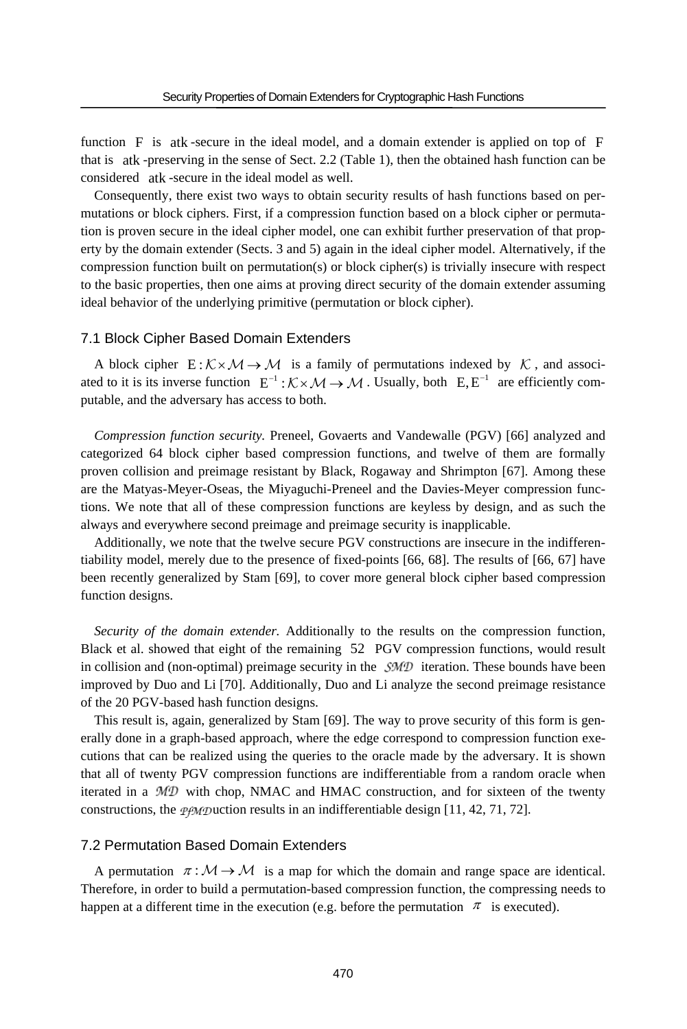function F is atk -secure in the ideal model, and a domain extender is applied on top of F that is atk -preserving in the sense of Sect. 2.2 (Table 1), then the obtained hash function can be considered atk -secure in the ideal model as well.

Consequently, there exist two ways to obtain security results of hash functions based on permutations or block ciphers. First, if a compression function based on a block cipher or permutation is proven secure in the ideal cipher model, one can exhibit further preservation of that property by the domain extender (Sects. 3 and 5) again in the ideal cipher model. Alternatively, if the compression function built on permutation(s) or block cipher(s) is trivially insecure with respect to the basic properties, then one aims at proving direct security of the domain extender assuming ideal behavior of the underlying primitive (permutation or block cipher).

#### 7.1 Block Cipher Based Domain Extenders

A block cipher  $E: K \times M \rightarrow M$  is a family of permutations indexed by K, and associated to it is its inverse function  $E^{-1}: K \times M \to M$ . Usually, both  $E, E^{-1}$  are efficiently computable, and the adversary has access to both.

*Compression function security.* Preneel, Govaerts and Vandewalle (PGV) [66] analyzed and categorized 64 block cipher based compression functions, and twelve of them are formally proven collision and preimage resistant by Black, Rogaway and Shrimpton [67]. Among these are the Matyas-Meyer-Oseas, the Miyaguchi-Preneel and the Davies-Meyer compression functions. We note that all of these compression functions are keyless by design, and as such the always and everywhere second preimage and preimage security is inapplicable.

Additionally, we note that the twelve secure PGV constructions are insecure in the indifferentiability model, merely due to the presence of fixed-points [66, 68]. The results of [66, 67] have been recently generalized by Stam [69], to cover more general block cipher based compression function designs.

*Security of the domain extender.* Additionally to the results on the compression function, Black et al. showed that eight of the remaining 52 PGV compression functions, would result in collision and (non-optimal) preimage security in the  $\mathcal{SMD}$  iteration. These bounds have been improved by Duo and Li [70]. Additionally, Duo and Li analyze the second preimage resistance of the 20 PGV-based hash function designs.

This result is, again, generalized by Stam [69]. The way to prove security of this form is generally done in a graph-based approach, where the edge correspond to compression function executions that can be realized using the queries to the oracle made by the adversary. It is shown that all of twenty PGV compression functions are indifferentiable from a random oracle when iterated in a  $MD$  with chop, NMAC and HMAC construction, and for sixteen of the twenty constructions, the *pemp* uction results in an indifferentiable design [11, 42, 71, 72].

### 7.2 Permutation Based Domain Extenders

A permutation  $\pi : \mathcal{M} \to \mathcal{M}$  is a map for which the domain and range space are identical. Therefore, in order to build a permutation-based compression function, the compressing needs to happen at a different time in the execution (e.g. before the permutation  $\pi$  is executed).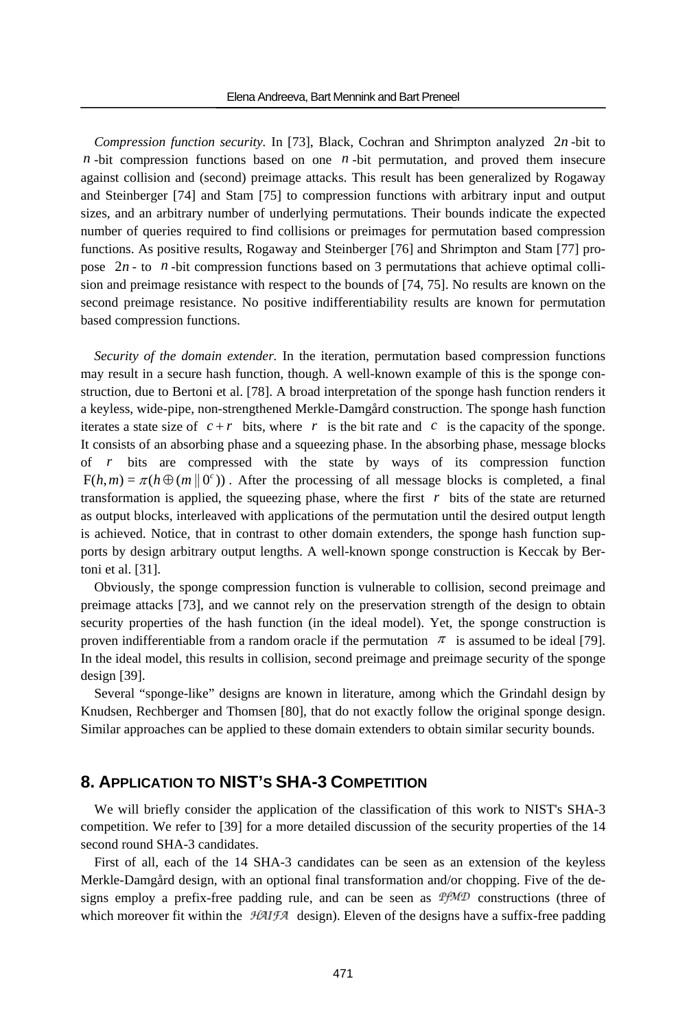*Compression function security.* In [73], Black, Cochran and Shrimpton analyzed 2*n* -bit to  $n$ -bit compression functions based on one  $n$ -bit permutation, and proved them insecure against collision and (second) preimage attacks. This result has been generalized by Rogaway and Steinberger [74] and Stam [75] to compression functions with arbitrary input and output sizes, and an arbitrary number of underlying permutations. Their bounds indicate the expected number of queries required to find collisions or preimages for permutation based compression functions. As positive results, Rogaway and Steinberger [76] and Shrimpton and Stam [77] propose  $2n$ -to  $n$ -bit compression functions based on 3 permutations that achieve optimal collision and preimage resistance with respect to the bounds of [74, 75]. No results are known on the second preimage resistance. No positive indifferentiability results are known for permutation based compression functions.

*Security of the domain extender.* In the iteration, permutation based compression functions may result in a secure hash function, though. A well-known example of this is the sponge construction, due to Bertoni et al. [78]. A broad interpretation of the sponge hash function renders it a keyless, wide-pipe, non-strengthened Merkle-Damgård construction. The sponge hash function iterates a state size of  $c + r$  bits, where r is the bit rate and c is the capacity of the sponge. It consists of an absorbing phase and a squeezing phase. In the absorbing phase, message blocks of *r* bits are compressed with the state by ways of its compression function  $F(h, m) = \pi(h \oplus (m \otimes o))$ . After the processing of all message blocks is completed, a final transformation is applied, the squeezing phase, where the first  $r$  bits of the state are returned as output blocks, interleaved with applications of the permutation until the desired output length is achieved. Notice, that in contrast to other domain extenders, the sponge hash function supports by design arbitrary output lengths. A well-known sponge construction is Keccak by Bertoni et al. [31].

Obviously, the sponge compression function is vulnerable to collision, second preimage and preimage attacks [73], and we cannot rely on the preservation strength of the design to obtain security properties of the hash function (in the ideal model). Yet, the sponge construction is proven indifferentiable from a random oracle if the permutation  $\pi$  is assumed to be ideal [79]. In the ideal model, this results in collision, second preimage and preimage security of the sponge design [39].

Several "sponge-like" designs are known in literature, among which the Grindahl design by Knudsen, Rechberger and Thomsen [80], that do not exactly follow the original sponge design. Similar approaches can be applied to these domain extenders to obtain similar security bounds.

# **8. APPLICATION TO NIST'S SHA-3 COMPETITION**

We will briefly consider the application of the classification of this work to NIST's SHA-3 competition. We refer to [39] for a more detailed discussion of the security properties of the 14 second round SHA-3 candidates.

First of all, each of the 14 SHA-3 candidates can be seen as an extension of the keyless Merkle-Damgård design, with an optional final transformation and/or chopping. Five of the designs employ a prefix-free padding rule, and can be seen as  $T_f M D$  constructions (three of which moreover fit within the  $HAIFA$  design). Eleven of the designs have a suffix-free padding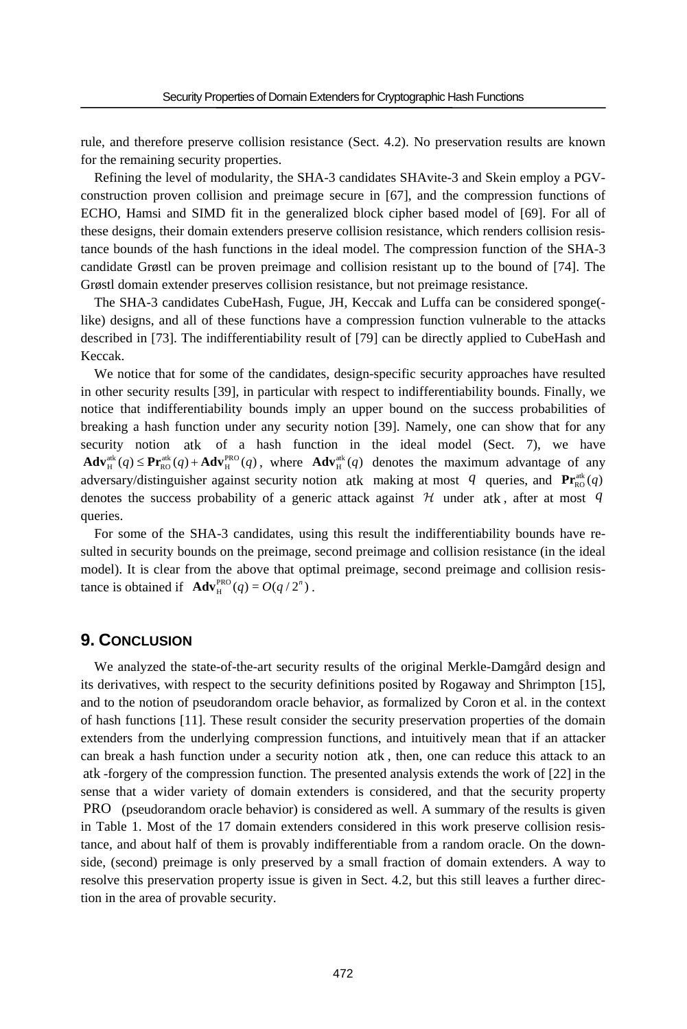rule, and therefore preserve collision resistance (Sect. 4.2). No preservation results are known for the remaining security properties.

Refining the level of modularity, the SHA-3 candidates SHAvite-3 and Skein employ a PGVconstruction proven collision and preimage secure in [67], and the compression functions of ECHO, Hamsi and SIMD fit in the generalized block cipher based model of [69]. For all of these designs, their domain extenders preserve collision resistance, which renders collision resistance bounds of the hash functions in the ideal model. The compression function of the SHA-3 candidate Grøstl can be proven preimage and collision resistant up to the bound of [74]. The Grøstl domain extender preserves collision resistance, but not preimage resistance.

The SHA-3 candidates CubeHash, Fugue, JH, Keccak and Luffa can be considered sponge( like) designs, and all of these functions have a compression function vulnerable to the attacks described in [73]. The indifferentiability result of [79] can be directly applied to CubeHash and Keccak.

We notice that for some of the candidates, design-specific security approaches have resulted in other security results [39], in particular with respect to indifferentiability bounds. Finally, we notice that indifferentiability bounds imply an upper bound on the success probabilities of breaking a hash function under any security notion [39]. Namely, one can show that for any security notion atk of a hash function in the ideal model (Sect. 7), we have  $\mathbf{Adv}_{\mathrm{H}}^{\mathrm{atk}}(q) \leq \mathbf{Pr}_{\mathrm{RO}}^{\mathrm{atk}}(q) + \mathbf{Adv}_{\mathrm{H}}^{\mathrm{PRO}}(q)$ , where  $\mathbf{Adv}_{\mathrm{H}}^{\mathrm{atk}}(q)$  denotes the maximum advantage of any adversary/distinguisher against security notion atk making at most q queries, and  $\Pr_{\text{RO}}^{\text{atk}}(q)$ denotes the success probability of a generic attack against  $H$  under atk, after at most  $q$ queries.

For some of the SHA-3 candidates, using this result the indifferentiability bounds have resulted in security bounds on the preimage, second preimage and collision resistance (in the ideal model). It is clear from the above that optimal preimage, second preimage and collision resistance is obtained if  $\text{Adv}_{H}^{PRO}(q) = O(q / 2^n)$ .

## **9. CONCLUSION**

We analyzed the state-of-the-art security results of the original Merkle-Damgård design and its derivatives, with respect to the security definitions posited by Rogaway and Shrimpton [15], and to the notion of pseudorandom oracle behavior, as formalized by Coron et al. in the context of hash functions [11]. These result consider the security preservation properties of the domain extenders from the underlying compression functions, and intuitively mean that if an attacker can break a hash function under a security notion atk , then, one can reduce this attack to an atk -forgery of the compression function. The presented analysis extends the work of [22] in the sense that a wider variety of domain extenders is considered, and that the security property PRO (pseudorandom oracle behavior) is considered as well. A summary of the results is given in Table 1. Most of the 17 domain extenders considered in this work preserve collision resistance, and about half of them is provably indifferentiable from a random oracle. On the downside, (second) preimage is only preserved by a small fraction of domain extenders. A way to resolve this preservation property issue is given in Sect. 4.2, but this still leaves a further direction in the area of provable security.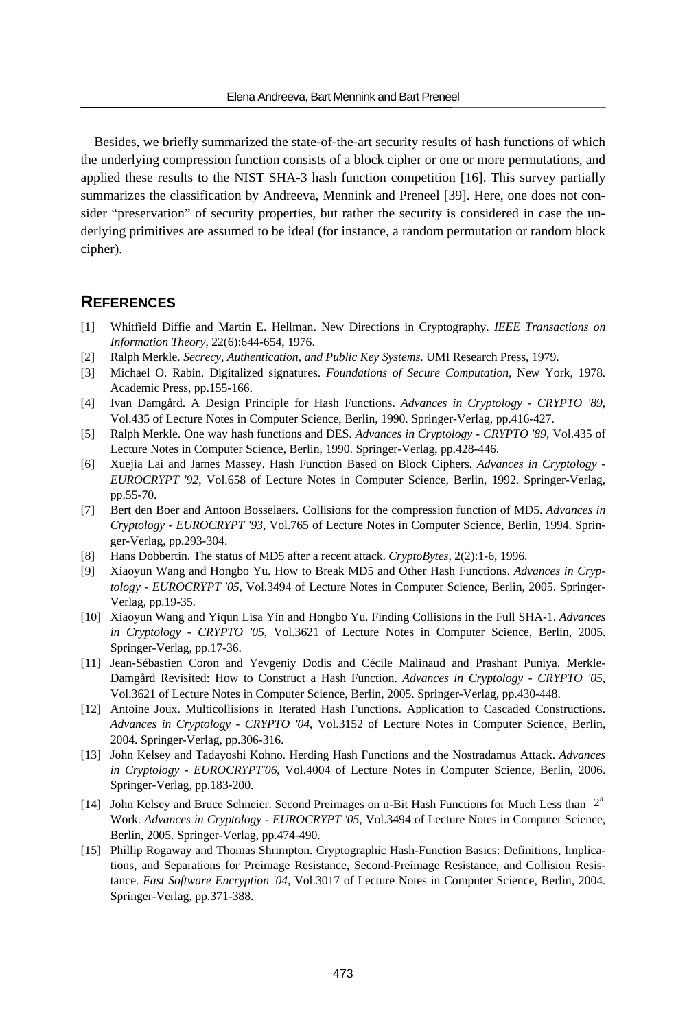Besides, we briefly summarized the state-of-the-art security results of hash functions of which the underlying compression function consists of a block cipher or one or more permutations, and applied these results to the NIST SHA-3 hash function competition [16]. This survey partially summarizes the classification by Andreeva, Mennink and Preneel [39]. Here, one does not consider "preservation" of security properties, but rather the security is considered in case the underlying primitives are assumed to be ideal (for instance, a random permutation or random block cipher).

### **REFERENCES**

- [1] Whitfield Diffie and Martin E. Hellman. New Directions in Cryptography. *IEEE Transactions on Information Theory*, 22(6):644-654, 1976.
- [2] Ralph Merkle. *Secrecy, Authentication, and Public Key Systems*. UMI Research Press, 1979.
- [3] Michael O. Rabin. Digitalized signatures. *Foundations of Secure Computation*, New York, 1978. Academic Press, pp.155-166.
- [4] Ivan Damgård. A Design Principle for Hash Functions. *Advances in Cryptology CRYPTO '89*, Vol.435 of Lecture Notes in Computer Science, Berlin, 1990. Springer-Verlag, pp.416-427.
- [5] Ralph Merkle. One way hash functions and DES. *Advances in Cryptology CRYPTO '89*, Vol.435 of Lecture Notes in Computer Science, Berlin, 1990. Springer-Verlag, pp.428-446.
- [6] Xuejia Lai and James Massey. Hash Function Based on Block Ciphers. *Advances in Cryptology EUROCRYPT '92*, Vol.658 of Lecture Notes in Computer Science, Berlin, 1992. Springer-Verlag, pp.55-70.
- [7] Bert den Boer and Antoon Bosselaers. Collisions for the compression function of MD5. *Advances in Cryptology - EUROCRYPT '93*, Vol.765 of Lecture Notes in Computer Science, Berlin, 1994. Springer-Verlag, pp.293-304.
- [8] Hans Dobbertin. The status of MD5 after a recent attack. *CryptoBytes*, 2(2):1-6, 1996.
- [9] Xiaoyun Wang and Hongbo Yu. How to Break MD5 and Other Hash Functions. *Advances in Cryptology - EUROCRYPT '05*, Vol.3494 of Lecture Notes in Computer Science, Berlin, 2005. Springer-Verlag, pp.19-35.
- [10] Xiaoyun Wang and Yiqun Lisa Yin and Hongbo Yu. Finding Collisions in the Full SHA-1. *Advances in Cryptology - CRYPTO '05*, Vol.3621 of Lecture Notes in Computer Science, Berlin, 2005. Springer-Verlag, pp.17-36.
- [11] Jean-Sébastien Coron and Yevgeniy Dodis and Cécile Malinaud and Prashant Puniya. Merkle-Damgård Revisited: How to Construct a Hash Function. *Advances in Cryptology - CRYPTO '05*, Vol.3621 of Lecture Notes in Computer Science, Berlin, 2005. Springer-Verlag, pp.430-448.
- [12] Antoine Joux. Multicollisions in Iterated Hash Functions. Application to Cascaded Constructions. *Advances in Cryptology - CRYPTO '04*, Vol.3152 of Lecture Notes in Computer Science, Berlin, 2004. Springer-Verlag, pp.306-316.
- [13] John Kelsey and Tadayoshi Kohno. Herding Hash Functions and the Nostradamus Attack. *Advances in Cryptology - EUROCRYPT'06*, Vol.4004 of Lecture Notes in Computer Science, Berlin, 2006. Springer-Verlag, pp.183-200.
- [14] John Kelsey and Bruce Schneier. Second Preimages on n-Bit Hash Functions for Much Less than 2*<sup>n</sup>* Work. *Advances in Cryptology - EUROCRYPT '05*, Vol.3494 of Lecture Notes in Computer Science, Berlin, 2005. Springer-Verlag, pp.474-490.
- [15] Phillip Rogaway and Thomas Shrimpton. Cryptographic Hash-Function Basics: Definitions, Implications, and Separations for Preimage Resistance, Second-Preimage Resistance, and Collision Resistance. *Fast Software Encryption '04*, Vol.3017 of Lecture Notes in Computer Science, Berlin, 2004. Springer-Verlag, pp.371-388.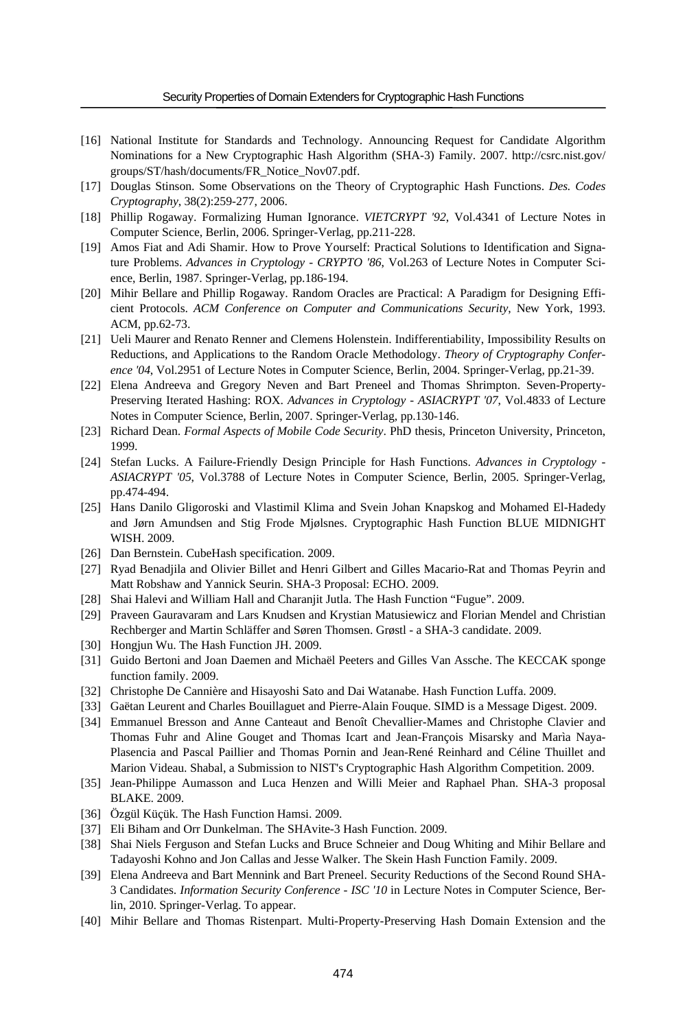- [16] National Institute for Standards and Technology. Announcing Request for Candidate Algorithm Nominations for a New Cryptographic Hash Algorithm (SHA-3) Family. 2007. http://csrc.nist.gov/ groups/ST/hash/documents/FR\_Notice\_Nov07.pdf.
- [17] Douglas Stinson. Some Observations on the Theory of Cryptographic Hash Functions. *Des. Codes Cryptography*, 38(2):259-277, 2006.
- [18] Phillip Rogaway. Formalizing Human Ignorance. *VIETCRYPT '92*, Vol.4341 of Lecture Notes in Computer Science, Berlin, 2006. Springer-Verlag, pp.211-228.
- [19] Amos Fiat and Adi Shamir. How to Prove Yourself: Practical Solutions to Identification and Signature Problems. *Advances in Cryptology - CRYPTO '86*, Vol.263 of Lecture Notes in Computer Science, Berlin, 1987. Springer-Verlag, pp.186-194.
- [20] Mihir Bellare and Phillip Rogaway. Random Oracles are Practical: A Paradigm for Designing Efficient Protocols. *ACM Conference on Computer and Communications Security*, New York, 1993. ACM, pp.62-73.
- [21] Ueli Maurer and Renato Renner and Clemens Holenstein. Indifferentiability, Impossibility Results on Reductions, and Applications to the Random Oracle Methodology. *Theory of Cryptography Conference '04*, Vol.2951 of Lecture Notes in Computer Science, Berlin, 2004. Springer-Verlag, pp.21-39.
- [22] Elena Andreeva and Gregory Neven and Bart Preneel and Thomas Shrimpton. Seven-Property-Preserving Iterated Hashing: ROX. *Advances in Cryptology - ASIACRYPT '07*, Vol.4833 of Lecture Notes in Computer Science, Berlin, 2007. Springer-Verlag, pp.130-146.
- [23] Richard Dean. *Formal Aspects of Mobile Code Security*. PhD thesis, Princeton University, Princeton, 1999.
- [24] Stefan Lucks. A Failure-Friendly Design Principle for Hash Functions. *Advances in Cryptology ASIACRYPT '05*, Vol.3788 of Lecture Notes in Computer Science, Berlin, 2005. Springer-Verlag, pp.474-494.
- [25] Hans Danilo Gligoroski and Vlastimil Klima and Svein Johan Knapskog and Mohamed El-Hadedy and Jørn Amundsen and Stig Frode Mjølsnes. Cryptographic Hash Function BLUE MIDNIGHT WISH. 2009.
- [26] Dan Bernstein. CubeHash specification. 2009.
- [27] Ryad Benadjila and Olivier Billet and Henri Gilbert and Gilles Macario-Rat and Thomas Peyrin and Matt Robshaw and Yannick Seurin. SHA-3 Proposal: ECHO. 2009.
- [28] Shai Halevi and William Hall and Charanjit Jutla. The Hash Function "Fugue". 2009.
- [29] Praveen Gauravaram and Lars Knudsen and Krystian Matusiewicz and Florian Mendel and Christian Rechberger and Martin Schläffer and Søren Thomsen. Grøstl - a SHA-3 candidate. 2009.
- [30] Hongjun Wu. The Hash Function JH. 2009.
- [31] Guido Bertoni and Joan Daemen and Michaël Peeters and Gilles Van Assche. The KECCAK sponge function family. 2009.
- [32] Christophe De Cannière and Hisayoshi Sato and Dai Watanabe. Hash Function Luffa. 2009.
- [33] Gaëtan Leurent and Charles Bouillaguet and Pierre-Alain Fouque. SIMD is a Message Digest. 2009.
- [34] Emmanuel Bresson and Anne Canteaut and Benoît Chevallier-Mames and Christophe Clavier and Thomas Fuhr and Aline Gouget and Thomas Icart and Jean-François Misarsky and Marìa Naya-Plasencia and Pascal Paillier and Thomas Pornin and Jean-René Reinhard and Céline Thuillet and Marion Videau. Shabal, a Submission to NIST's Cryptographic Hash Algorithm Competition. 2009.
- [35] Jean-Philippe Aumasson and Luca Henzen and Willi Meier and Raphael Phan. SHA-3 proposal BLAKE. 2009.
- [36] Özgül Küçük. The Hash Function Hamsi. 2009.
- [37] Eli Biham and Orr Dunkelman. The SHAvite-3 Hash Function. 2009.
- [38] Shai Niels Ferguson and Stefan Lucks and Bruce Schneier and Doug Whiting and Mihir Bellare and Tadayoshi Kohno and Jon Callas and Jesse Walker. The Skein Hash Function Family. 2009.
- [39] Elena Andreeva and Bart Mennink and Bart Preneel. Security Reductions of the Second Round SHA-3 Candidates. *Information Security Conference - ISC '10* in Lecture Notes in Computer Science, Berlin, 2010. Springer-Verlag. To appear.
- [40] Mihir Bellare and Thomas Ristenpart. Multi-Property-Preserving Hash Domain Extension and the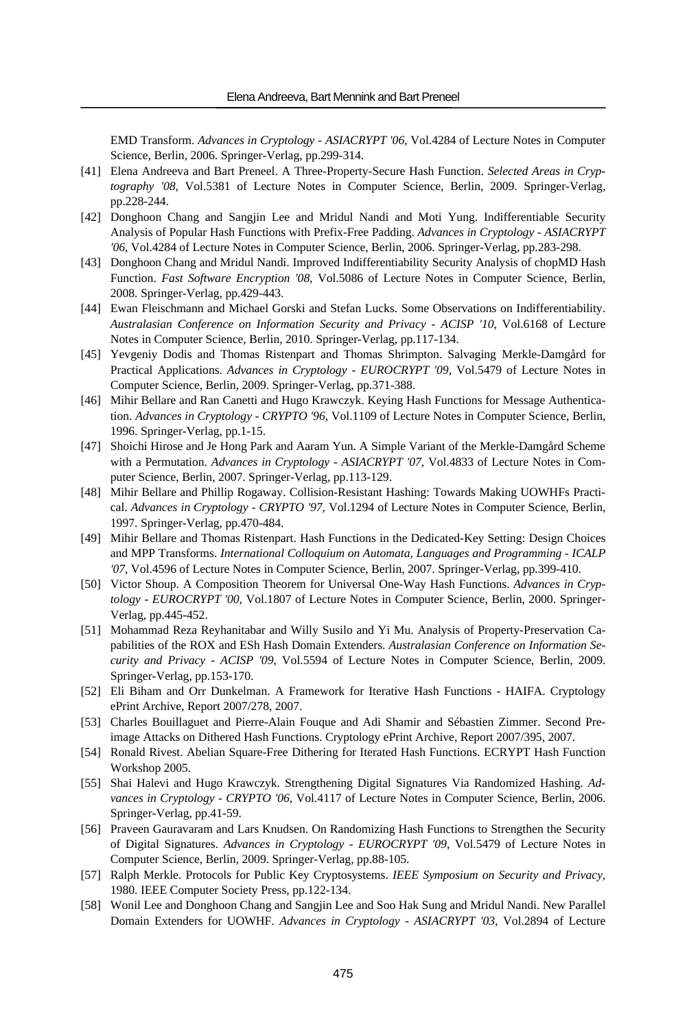EMD Transform. *Advances in Cryptology - ASIACRYPT '06*, Vol.4284 of Lecture Notes in Computer Science, Berlin, 2006. Springer-Verlag, pp.299-314.

- [41] Elena Andreeva and Bart Preneel. A Three-Property-Secure Hash Function. *Selected Areas in Cryptography '08*, Vol.5381 of Lecture Notes in Computer Science, Berlin, 2009. Springer-Verlag, pp.228-244.
- [42] Donghoon Chang and Sangjin Lee and Mridul Nandi and Moti Yung. Indifferentiable Security Analysis of Popular Hash Functions with Prefix-Free Padding. *Advances in Cryptology - ASIACRYPT '06*, Vol.4284 of Lecture Notes in Computer Science, Berlin, 2006. Springer-Verlag, pp.283-298.
- [43] Donghoon Chang and Mridul Nandi. Improved Indifferentiability Security Analysis of chopMD Hash Function. *Fast Software Encryption '08*, Vol.5086 of Lecture Notes in Computer Science, Berlin, 2008. Springer-Verlag, pp.429-443.
- [44] Ewan Fleischmann and Michael Gorski and Stefan Lucks. Some Observations on Indifferentiability. *Australasian Conference on Information Security and Privacy - ACISP '10*, Vol.6168 of Lecture Notes in Computer Science, Berlin, 2010. Springer-Verlag, pp.117-134.
- [45] Yevgeniy Dodis and Thomas Ristenpart and Thomas Shrimpton. Salvaging Merkle-Damgård for Practical Applications. *Advances in Cryptology - EUROCRYPT '09*, Vol.5479 of Lecture Notes in Computer Science, Berlin, 2009. Springer-Verlag, pp.371-388.
- [46] Mihir Bellare and Ran Canetti and Hugo Krawczyk. Keying Hash Functions for Message Authentication. *Advances in Cryptology - CRYPTO '96*, Vol.1109 of Lecture Notes in Computer Science, Berlin, 1996. Springer-Verlag, pp.1-15.
- [47] Shoichi Hirose and Je Hong Park and Aaram Yun. A Simple Variant of the Merkle-Damgård Scheme with a Permutation. *Advances in Cryptology - ASIACRYPT '07*, Vol.4833 of Lecture Notes in Computer Science, Berlin, 2007. Springer-Verlag, pp.113-129.
- [48] Mihir Bellare and Phillip Rogaway. Collision-Resistant Hashing: Towards Making UOWHFs Practical. *Advances in Cryptology - CRYPTO '97*, Vol.1294 of Lecture Notes in Computer Science, Berlin, 1997. Springer-Verlag, pp.470-484.
- [49] Mihir Bellare and Thomas Ristenpart. Hash Functions in the Dedicated-Key Setting: Design Choices and MPP Transforms. *International Colloquium on Automata, Languages and Programming - ICALP '07*, Vol.4596 of Lecture Notes in Computer Science, Berlin, 2007. Springer-Verlag, pp.399-410.
- [50] Victor Shoup. A Composition Theorem for Universal One-Way Hash Functions. *Advances in Cryptology - EUROCRYPT '00*, Vol.1807 of Lecture Notes in Computer Science, Berlin, 2000. Springer-Verlag, pp.445-452.
- [51] Mohammad Reza Reyhanitabar and Willy Susilo and Yi Mu. Analysis of Property-Preservation Capabilities of the ROX and ESh Hash Domain Extenders. *Australasian Conference on Information Security and Privacy - ACISP '09*, Vol.5594 of Lecture Notes in Computer Science, Berlin, 2009. Springer-Verlag, pp.153-170.
- [52] Eli Biham and Orr Dunkelman. A Framework for Iterative Hash Functions HAIFA. Cryptology ePrint Archive, Report 2007/278, 2007.
- [53] Charles Bouillaguet and Pierre-Alain Fouque and Adi Shamir and Sébastien Zimmer. Second Preimage Attacks on Dithered Hash Functions. Cryptology ePrint Archive, Report 2007/395, 2007.
- [54] Ronald Rivest. Abelian Square-Free Dithering for Iterated Hash Functions. ECRYPT Hash Function Workshop 2005.
- [55] Shai Halevi and Hugo Krawczyk. Strengthening Digital Signatures Via Randomized Hashing. *Advances in Cryptology - CRYPTO '06*, Vol.4117 of Lecture Notes in Computer Science, Berlin, 2006. Springer-Verlag, pp.41-59.
- [56] Praveen Gauravaram and Lars Knudsen. On Randomizing Hash Functions to Strengthen the Security of Digital Signatures. *Advances in Cryptology - EUROCRYPT '09*, Vol.5479 of Lecture Notes in Computer Science, Berlin, 2009. Springer-Verlag, pp.88-105.
- [57] Ralph Merkle. Protocols for Public Key Cryptosystems. *IEEE Symposium on Security and Privacy*, 1980. IEEE Computer Society Press, pp.122-134.
- [58] Wonil Lee and Donghoon Chang and Sangjin Lee and Soo Hak Sung and Mridul Nandi. New Parallel Domain Extenders for UOWHF. *Advances in Cryptology - ASIACRYPT '03*, Vol.2894 of Lecture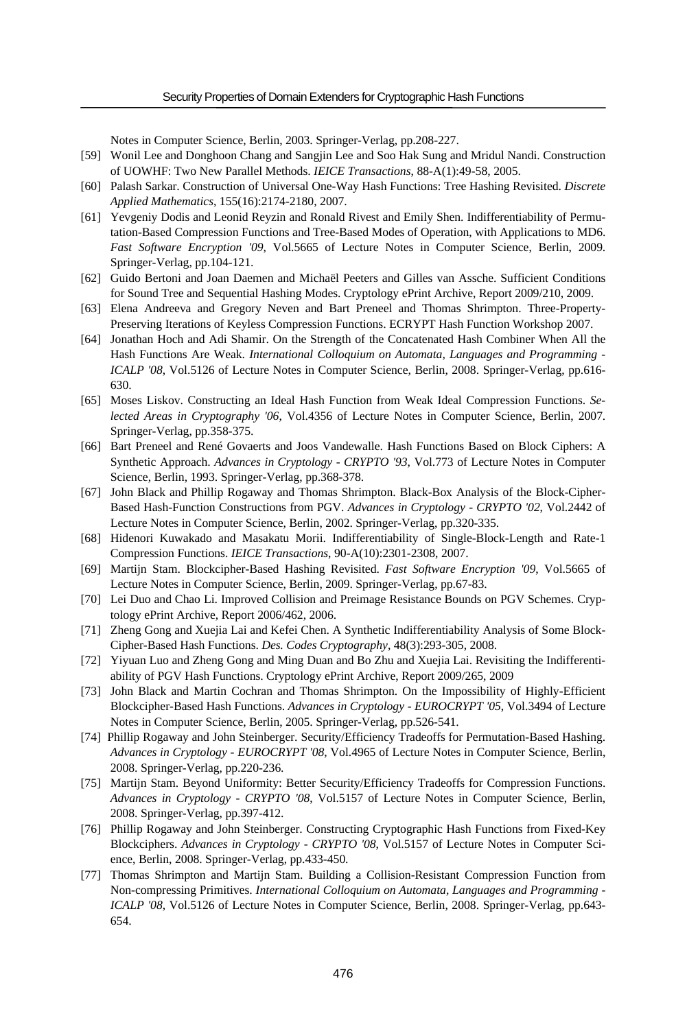Notes in Computer Science, Berlin, 2003. Springer-Verlag, pp.208-227.

- [59] Wonil Lee and Donghoon Chang and Sangjin Lee and Soo Hak Sung and Mridul Nandi. Construction of UOWHF: Two New Parallel Methods. *IEICE Transactions*, 88-A(1):49-58, 2005.
- [60] Palash Sarkar. Construction of Universal One-Way Hash Functions: Tree Hashing Revisited. *Discrete Applied Mathematics*, 155(16):2174-2180, 2007.
- [61] Yevgeniy Dodis and Leonid Reyzin and Ronald Rivest and Emily Shen. Indifferentiability of Permutation-Based Compression Functions and Tree-Based Modes of Operation, with Applications to MD6. *Fast Software Encryption '09*, Vol.5665 of Lecture Notes in Computer Science, Berlin, 2009. Springer-Verlag, pp.104-121.
- [62] Guido Bertoni and Joan Daemen and Michaël Peeters and Gilles van Assche. Sufficient Conditions for Sound Tree and Sequential Hashing Modes. Cryptology ePrint Archive, Report 2009/210, 2009.
- [63] Elena Andreeva and Gregory Neven and Bart Preneel and Thomas Shrimpton. Three-Property-Preserving Iterations of Keyless Compression Functions. ECRYPT Hash Function Workshop 2007.
- [64] Jonathan Hoch and Adi Shamir. On the Strength of the Concatenated Hash Combiner When All the Hash Functions Are Weak. *International Colloquium on Automata, Languages and Programming - ICALP '08*, Vol.5126 of Lecture Notes in Computer Science, Berlin, 2008. Springer-Verlag, pp.616-630.
- [65] Moses Liskov. Constructing an Ideal Hash Function from Weak Ideal Compression Functions. *Selected Areas in Cryptography '06*, Vol.4356 of Lecture Notes in Computer Science, Berlin, 2007. Springer-Verlag, pp.358-375.
- [66] Bart Preneel and René Govaerts and Joos Vandewalle. Hash Functions Based on Block Ciphers: A Synthetic Approach. *Advances in Cryptology - CRYPTO '93*, Vol.773 of Lecture Notes in Computer Science, Berlin, 1993. Springer-Verlag, pp.368-378.
- [67] John Black and Phillip Rogaway and Thomas Shrimpton. Black-Box Analysis of the Block-Cipher-Based Hash-Function Constructions from PGV. *Advances in Cryptology - CRYPTO '02*, Vol.2442 of Lecture Notes in Computer Science, Berlin, 2002. Springer-Verlag, pp.320-335.
- [68] Hidenori Kuwakado and Masakatu Morii. Indifferentiability of Single-Block-Length and Rate-1 Compression Functions. *IEICE Transactions*, 90-A(10):2301-2308, 2007.
- [69] Martijn Stam. Blockcipher-Based Hashing Revisited. *Fast Software Encryption '09*, Vol.5665 of Lecture Notes in Computer Science, Berlin, 2009. Springer-Verlag, pp.67-83.
- [70] Lei Duo and Chao Li. Improved Collision and Preimage Resistance Bounds on PGV Schemes. Cryptology ePrint Archive, Report 2006/462, 2006.
- [71] Zheng Gong and Xuejia Lai and Kefei Chen. A Synthetic Indifferentiability Analysis of Some Block-Cipher-Based Hash Functions. *Des. Codes Cryptography*, 48(3):293-305, 2008.
- [72] Yiyuan Luo and Zheng Gong and Ming Duan and Bo Zhu and Xuejia Lai. Revisiting the Indifferentiability of PGV Hash Functions. Cryptology ePrint Archive, Report 2009/265, 2009
- [73] John Black and Martin Cochran and Thomas Shrimpton. On the Impossibility of Highly-Efficient Blockcipher-Based Hash Functions. *Advances in Cryptology - EUROCRYPT '05*, Vol.3494 of Lecture Notes in Computer Science, Berlin, 2005. Springer-Verlag, pp.526-541.
- [74] Phillip Rogaway and John Steinberger. Security/Efficiency Tradeoffs for Permutation-Based Hashing. *Advances in Cryptology - EUROCRYPT '08*, Vol.4965 of Lecture Notes in Computer Science, Berlin, 2008. Springer-Verlag, pp.220-236.
- [75] Martijn Stam. Beyond Uniformity: Better Security/Efficiency Tradeoffs for Compression Functions. *Advances in Cryptology - CRYPTO '08*, Vol.5157 of Lecture Notes in Computer Science, Berlin, 2008. Springer-Verlag, pp.397-412.
- [76] Phillip Rogaway and John Steinberger. Constructing Cryptographic Hash Functions from Fixed-Key Blockciphers. *Advances in Cryptology - CRYPTO '08*, Vol.5157 of Lecture Notes in Computer Science, Berlin, 2008. Springer-Verlag, pp.433-450.
- [77] Thomas Shrimpton and Martijn Stam. Building a Collision-Resistant Compression Function from Non-compressing Primitives. *International Colloquium on Automata, Languages and Programming - ICALP '08*, Vol.5126 of Lecture Notes in Computer Science, Berlin, 2008. Springer-Verlag, pp.643- 654.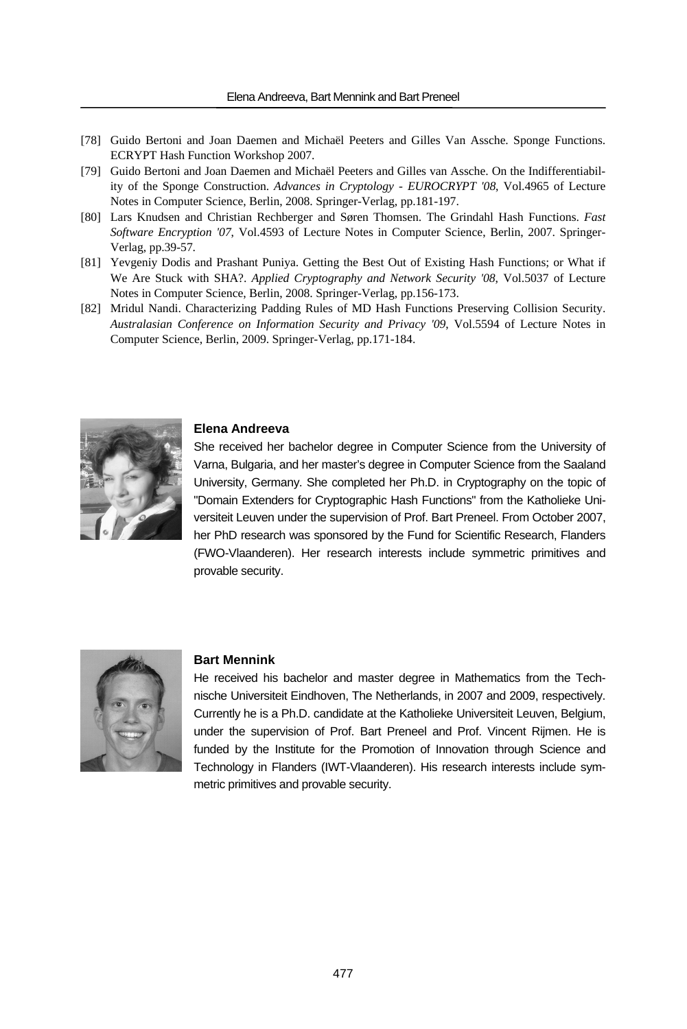- [78] Guido Bertoni and Joan Daemen and Michaël Peeters and Gilles Van Assche. Sponge Functions. ECRYPT Hash Function Workshop 2007.
- [79] Guido Bertoni and Joan Daemen and Michaël Peeters and Gilles van Assche. On the Indifferentiability of the Sponge Construction. *Advances in Cryptology - EUROCRYPT '08*, Vol.4965 of Lecture Notes in Computer Science, Berlin, 2008. Springer-Verlag, pp.181-197.
- [80] Lars Knudsen and Christian Rechberger and Søren Thomsen. The Grindahl Hash Functions. *Fast Software Encryption '07*, Vol.4593 of Lecture Notes in Computer Science, Berlin, 2007. Springer-Verlag, pp.39-57.
- [81] Yevgeniy Dodis and Prashant Puniya. Getting the Best Out of Existing Hash Functions; or What if We Are Stuck with SHA?. *Applied Cryptography and Network Security '08*, Vol.5037 of Lecture Notes in Computer Science, Berlin, 2008. Springer-Verlag, pp.156-173.
- [82] Mridul Nandi. Characterizing Padding Rules of MD Hash Functions Preserving Collision Security. *Australasian Conference on Information Security and Privacy '09*, Vol.5594 of Lecture Notes in Computer Science, Berlin, 2009. Springer-Verlag, pp.171-184.



#### **Elena Andreeva**

She received her bachelor degree in Computer Science from the University of Varna, Bulgaria, and her master's degree in Computer Science from the Saaland University, Germany. She completed her Ph.D. in Cryptography on the topic of "Domain Extenders for Cryptographic Hash Functions" from the Katholieke Universiteit Leuven under the supervision of Prof. Bart Preneel. From October 2007, her PhD research was sponsored by the Fund for Scientific Research, Flanders (FWO-Vlaanderen). Her research interests include symmetric primitives and provable security.



#### **Bart Mennink**

He received his bachelor and master degree in Mathematics from the Technische Universiteit Eindhoven, The Netherlands, in 2007 and 2009, respectively. Currently he is a Ph.D. candidate at the Katholieke Universiteit Leuven, Belgium, under the supervision of Prof. Bart Preneel and Prof. Vincent Rijmen. He is funded by the Institute for the Promotion of Innovation through Science and Technology in Flanders (IWT-Vlaanderen). His research interests include symmetric primitives and provable security.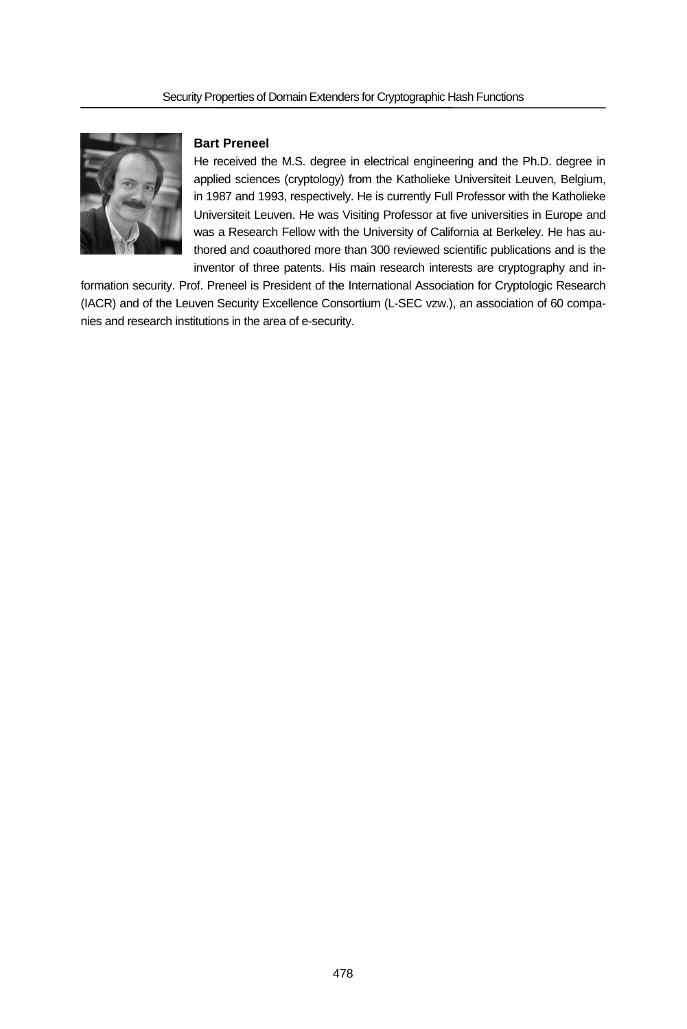

# **Bart Preneel**

He received the M.S. degree in electrical engineering and the Ph.D. degree in applied sciences (cryptology) from the Katholieke Universiteit Leuven, Belgium, in 1987 and 1993, respectively. He is currently Full Professor with the Katholieke Universiteit Leuven. He was Visiting Professor at five universities in Europe and was a Research Fellow with the University of California at Berkeley. He has authored and coauthored more than 300 reviewed scientific publications and is the inventor of three patents. His main research interests are cryptography and in-

formation security. Prof. Preneel is President of the International Association for Cryptologic Research (IACR) and of the Leuven Security Excellence Consortium (L-SEC vzw.), an association of 60 companies and research institutions in the area of e-security.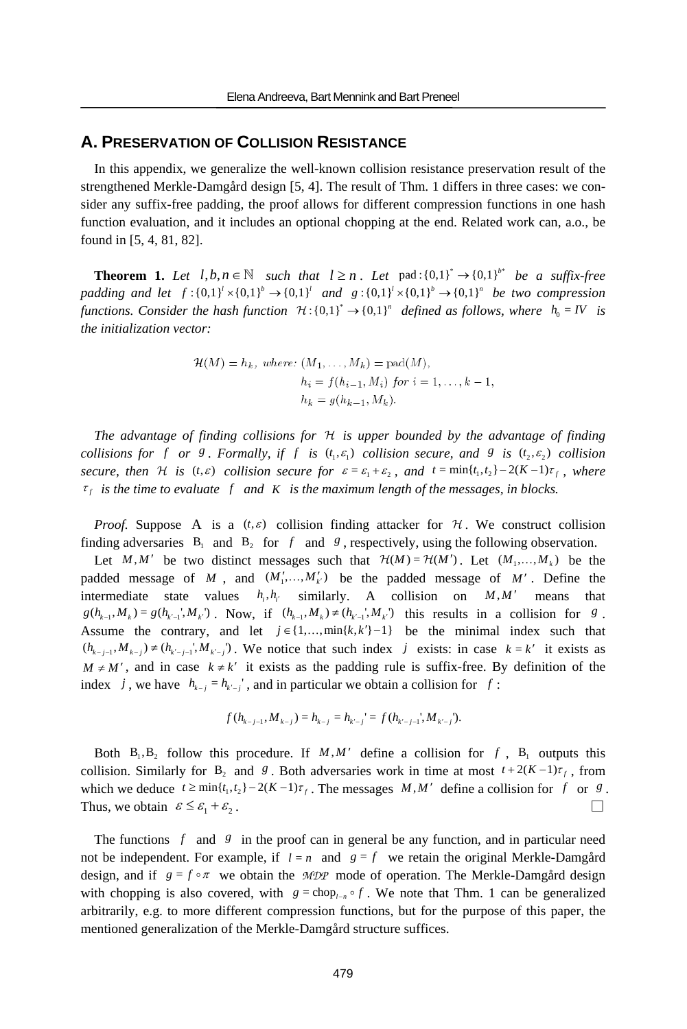# **A. PRESERVATION OF COLLISION RESISTANCE**

In this appendix, we generalize the well-known collision resistance preservation result of the strengthened Merkle-Damgård design [5, 4]. The result of Thm. 1 differs in three cases: we consider any suffix-free padding, the proof allows for different compression functions in one hash function evaluation, and it includes an optional chopping at the end. Related work can, a.o., be found in [5, 4, 81, 82].

**Theorem 1.** Let  $l, b, n \in \mathbb{N}$  such that  $l \ge n$ . Let pad: $\{0,1\}^* \rightarrow \{0,1\}^*$  be a suffix-free *padding and let*  $f: \{0,1\}^l \times \{0,1\}^l$  *and*  $g: \{0,1\}^l \times \{0,1\}^l \rightarrow \{0,1\}^n$  *be two compression functions. Consider the hash function*  $\mathcal{H}: \{0,1\}^* \to \{0,1\}^n$  defined as follows, where  $h_0 = IV$  is *the initialization vector:* 

$$
\mathcal{H}(M) = h_k, \text{ where: } (M_1, \dots, M_k) = \text{pad}(M),
$$
  
\n
$$
h_i = f(h_{i-1}, M_i) \text{ for } i = 1, \dots, k-1,
$$
  
\n
$$
h_k = g(h_{k-1}, M_k).
$$

*The advantage of finding collisions for* H *is upper bounded by the advantage of finding collisions for f or 8. Formally, if f is*  $(t_1, \varepsilon_1)$  *collision secure, and 8 is*  $(t_2, \varepsilon_2)$  *collision secure, then*  $\mathcal H$  *is*  $(t, \varepsilon)$  *collision secure for*  $\varepsilon = \varepsilon_1 + \varepsilon_2$ *, and*  $t = \min\{t_1, t_2\} - 2(K - 1)\tau_f$ *, where*  $\tau_f$  *is the time to evaluate* f and K *is the maximum length of the messages, in blocks.* 

*Proof.* Suppose A is a  $(t, \varepsilon)$  collision finding attacker for H. We construct collision finding adversaries  $B_1$  and  $B_2$  for f and g, respectively, using the following observation.

Let *M*,*M'* be two distinct messages such that  $\mathcal{H}(M) = \mathcal{H}(M')$ . Let  $(M_1, ..., M_k)$  be the padded message of *M*, and  $(M'_1,...,M'_k)$  be the padded message of *M'*. Define the intermediate state values  $h_i$ ,  $h_j$  similarly. A collision on  $M$ ,  $M'$  means that  $g(h_{k-1}, M_k) = g(h_{k-1}, M_{k'})$ . Now, if  $(h_{k-1}, M_k) \neq (h_{k-1}, M_{k'})$  this results in a collision for *g*. Assume the contrary, and let  $j \in \{1, ..., \min\{k, k'\}-1\}$  be the minimal index such that  $(h_{k-j-1}, M_{k-j}) \neq (h_{k'-j-1}, M_{k'-j})$ . We notice that such index *j* exists: in case  $k = k'$  it exists as  $M \neq M'$ , and in case  $k \neq k'$  it exists as the padding rule is suffix-free. By definition of the index *j*, we have  $h_{k-j} = h_{k-j}$ , and in particular we obtain a collision for *f* :

$$
f(h_{k-j-1}, M_{k-j}) = h_{k-j} = h_{k'-j} = f(h_{k'-j-1}, M_{k'-j}).
$$

Both  $B_1, B_2$  follow this procedure. If  $M, M'$  define a collision for f,  $B_1$  outputs this collision. Similarly for B<sub>2</sub> and *g*. Both adversaries work in time at most  $t + 2(K - 1)\tau_f$ , from which we deduce  $t \ge \min\{t_1, t_2\} - 2(K-1)\tau_f$ . The messages *M*, *M'* define a collision for *f* or *g*. Thus, we obtain  $\epsilon \leq \epsilon_1 + \epsilon_2$ .

The functions *f* and *g* in the proof can in general be any function, and in particular need not be independent. For example, if  $l = n$  and  $g = f$  we retain the original Merkle-Damgård design, and if  $g = f \circ \pi$  we obtain the *MDP* mode of operation. The Merkle-Damgård design with chopping is also covered, with  $g = \text{chop}_{l-n} \circ f$ . We note that Thm. 1 can be generalized arbitrarily, e.g. to more different compression functions, but for the purpose of this paper, the mentioned generalization of the Merkle-Damgård structure suffices.